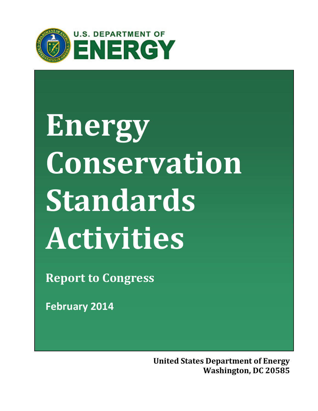

# **Energy Conservation Standards Activities**

**Report to Congress**

**February 2014**

**United States Department of Energy Washington, DC 20585**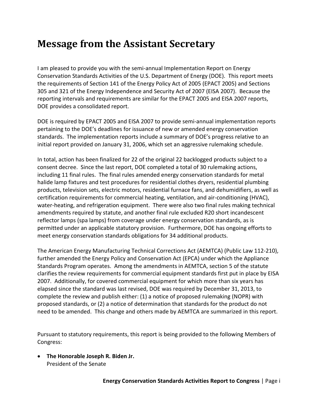# **Message from the Assistant Secretary**

I am pleased to provide you with the semi-annual Implementation Report on Energy Conservation Standards Activities of the U.S. Department of Energy (DOE). This report meets the requirements of Section 141 of the Energy Policy Act of 2005 (EPACT 2005) and Sections 305 and 321 of the Energy Independence and Security Act of 2007 (EISA 2007). Because the reporting intervals and requirements are similar for the EPACT 2005 and EISA 2007 reports, DOE provides a consolidated report.

DOE is required by EPACT 2005 and EISA 2007 to provide semi-annual implementation reports pertaining to the DOE's deadlines for issuance of new or amended energy conservation standards. The implementation reports include a summary of DOE's progress relative to an initial report provided on January 31, 2006, which set an aggressive rulemaking schedule.

In total, action has been finalized for 22 of the original 22 backlogged products subject to a consent decree. Since the last report, DOE completed a total of 30 rulemaking actions, including 11 final rules. The final rules amended energy conservation standards for metal halide lamp fixtures and test procedures for residential clothes dryers, residential plumbing products, television sets, electric motors, residential furnace fans, and dehumidifiers, as well as certification requirements for commercial heating, ventilation, and air-conditioning (HVAC), water-heating, and refrigeration equipment. There were also two final rules making technical amendments required by statute, and another final rule excluded R20 short incandescent reflector lamps (spa lamps) from coverage under energy conservation standards, as is permitted under an applicable statutory provision. Furthermore, DOE has ongoing efforts to meet energy conservation standards obligations for 34 additional products.

The American Energy Manufacturing Technical Corrections Act (AEMTCA) (Public Law 112-210), further amended the Energy Policy and Conservation Act (EPCA) under which the Appliance Standards Program operates. Among the amendments in AEMTCA, section 5 of the statute clarifies the review requirements for commercial equipment standards first put in place by EISA 2007. Additionally, for covered commercial equipment for which more than six years has elapsed since the standard was last revised, DOE was required by December 31, 2013, to complete the review and publish either: (1) a notice of proposed rulemaking (NOPR) with proposed standards, or (2) a notice of determination that standards for the product do not need to be amended. This change and others made by AEMTCA are summarized in this report.

Pursuant to statutory requirements, this report is being provided to the following Members of Congress:

• **The Honorable Joseph R. Biden Jr.** President of the Senate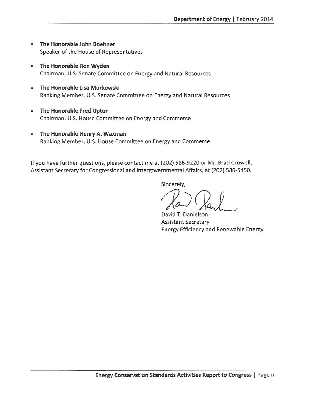- The Honorable John Boehner Speaker of the House of Representatives
- The Honorable Ron Wyden Chairman, U.S. Senate Committee on Energy and Natural Resources
- The Honorable Lisa Murkowski Ranking Member, U.S. Senate Committee on Energy and Natural Resources
- The Honorable Fred Upton Chairman, U.S. House Committee on Energy and Commerce
- The Honorable Henry A. Waxman Ranking Member, U.S. House Committee on Energy and Commerce

If you have further questions, please contact me at (202) 586-9220 or Mr. Brad Crowell, Assistant Secretary for Congressional and Intergovernmental Affairs, at (202) 586-5450.

Sincerely,

David T. Danielson **Assistant Secretary Energy Efficiency and Renewable Energy**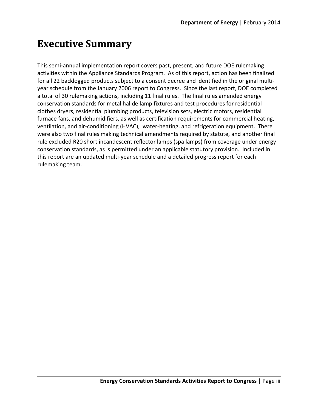## **Executive Summary**

This semi-annual implementation report covers past, present, and future DOE rulemaking activities within the Appliance Standards Program. As of this report, action has been finalized for all 22 backlogged products subject to a consent decree and identified in the original multiyear schedule from the January 2006 report to Congress. Since the last report, DOE completed a total of 30 rulemaking actions, including 11 final rules. The final rules amended energy conservation standards for metal halide lamp fixtures and test procedures for residential clothes dryers, residential plumbing products, television sets, electric motors, residential furnace fans, and dehumidifiers, as well as certification requirements for commercial heating, ventilation, and air-conditioning (HVAC), water-heating, and refrigeration equipment. There were also two final rules making technical amendments required by statute, and another final rule excluded R20 short incandescent reflector lamps (spa lamps) from coverage under energy conservation standards, as is permitted under an applicable statutory provision. Included in this report are an updated multi-year schedule and a detailed progress report for each rulemaking team.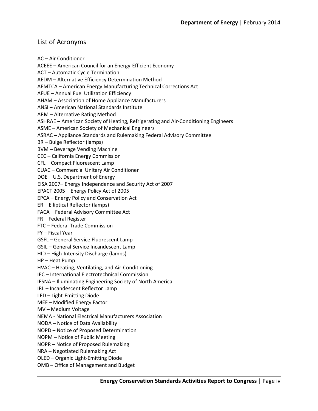## List of Acronyms

AC – Air Conditioner ACEEE – American Council for an Energy-Efficient Economy ACT – Automatic Cycle Termination AEDM – Alternative Efficiency Determination Method AEMTCA – American Energy Manufacturing Technical Corrections Act AFUE – Annual Fuel Utilization Efficiency AHAM – Association of Home Appliance Manufacturers ANSI – American National Standards Institute ARM – Alternative Rating Method ASHRAE – American Society of Heating, Refrigerating and Air-Conditioning Engineers ASME – American Society of Mechanical Engineers ASRAC – Appliance Standards and Rulemaking Federal Advisory Committee BR – Bulge Reflector (lamps) BVM – Beverage Vending Machine CEC – California Energy Commission CFL – Compact Fluorescent Lamp CUAC – Commercial Unitary Air Conditioner DOE – U.S. Department of Energy EISA 2007– Energy Independence and Security Act of 2007 EPACT 2005 – Energy Policy Act of 2005 EPCA – Energy Policy and Conservation Act ER – Elliptical Reflector (lamps) FACA – Federal Advisory Committee Act FR – Federal Register FTC – Federal Trade Commission FY – Fiscal Year GSFL – General Service Fluorescent Lamp GSIL – General Service Incandescent Lamp HID – High-Intensity Discharge (lamps) HP – Heat Pump HVAC – Heating, Ventilating, and Air-Conditioning IEC – International Electrotechnical Commission IESNA – Illuminating Engineering Society of North America IRL – Incandescent Reflector Lamp LED – Light-Emitting Diode MEF – Modified Energy Factor MV – Medium Voltage NEMA - National Electrical Manufacturers Association NODA – Notice of Data Availability NOPD – Notice of Proposed Determination NOPM – Notice of Public Meeting NOPR – Notice of Proposed Rulemaking NRA – Negotiated Rulemaking Act OLED – Organic Light-Emitting Diode OMB – Office of Management and Budget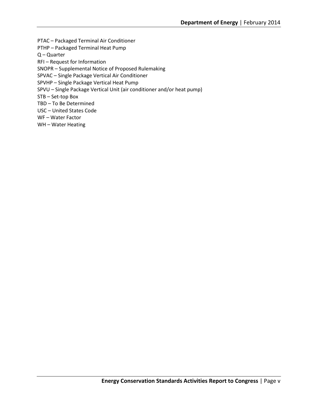PTAC – Packaged Terminal Air Conditioner PTHP – Packaged Terminal Heat Pump Q – Quarter RFI – Request for Information SNOPR – Supplemental Notice of Proposed Rulemaking SPVAC – Single Package Vertical Air Conditioner SPVHP – Single Package Vertical Heat Pump SPVU – Single Package Vertical Unit (air conditioner and/or heat pump) STB – Set-top Box TBD – To Be Determined USC – United States Code WF – Water Factor WH – Water Heating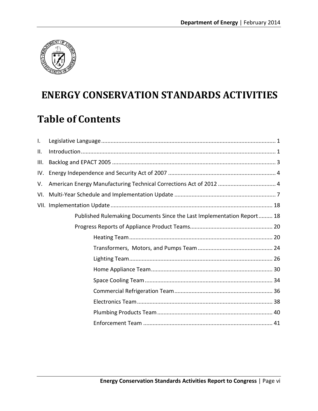

# **ENERGY CONSERVATION STANDARDS ACTIVITIES**

# **Table of Contents**

| $\mathbf{L}$ |                                                                        |
|--------------|------------------------------------------------------------------------|
| ΙΙ.          |                                                                        |
| III.         |                                                                        |
| IV.          |                                                                        |
| V.           |                                                                        |
| VI.          |                                                                        |
|              |                                                                        |
|              | Published Rulemaking Documents Since the Last Implementation Report 18 |
|              |                                                                        |
|              |                                                                        |
|              |                                                                        |
|              |                                                                        |
|              |                                                                        |
|              |                                                                        |
|              |                                                                        |
|              |                                                                        |
|              |                                                                        |
|              |                                                                        |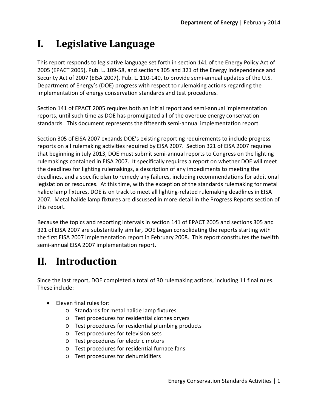# <span id="page-7-0"></span>**I. Legislative Language**

This report responds to legislative language set forth in section 141 of the Energy Policy Act of 2005 (EPACT 2005), Pub. L. 109-58, and sections 305 and 321 of the Energy Independence and Security Act of 2007 (EISA 2007), Pub. L. 110-140, to provide semi-annual updates of the U.S. Department of Energy's (DOE) progress with respect to rulemaking actions regarding the implementation of energy conservation standards and test procedures.

Section 141 of EPACT 2005 requires both an initial report and semi-annual implementation reports, until such time as DOE has promulgated all of the overdue energy conservation standards. This document represents the fifteenth semi-annual implementation report.

Section 305 of EISA 2007 expands DOE's existing reporting requirements to include progress reports on all rulemaking activities required by EISA 2007. Section 321 of EISA 2007 requires that beginning in July 2013, DOE must submit semi-annual reports to Congress on the lighting rulemakings contained in EISA 2007. It specifically requires a report on whether DOE will meet the deadlines for lighting rulemakings, a description of any impediments to meeting the deadlines, and a specific plan to remedy any failures, including recommendations for additional legislation or resources. At this time, with the exception of the standards rulemaking for metal halide lamp fixtures, DOE is on track to meet all lighting-related rulemaking deadlines in EISA 2007. Metal halide lamp fixtures are discussed in more detail in the Progress Reports section of this report.

Because the topics and reporting intervals in section 141 of EPACT 2005 and sections 305 and 321 of EISA 2007 are substantially similar, DOE began consolidating the reports starting with the first EISA 2007 implementation report in February 2008. This report constitutes the twelfth semi-annual EISA 2007 implementation report.

# <span id="page-7-1"></span>**II. Introduction**

Since the last report, DOE completed a total of 30 rulemaking actions, including 11 final rules. These include:

- Eleven final rules for:
	- o Standards for metal halide lamp fixtures
	- o Test procedures for residential clothes dryers
	- o Test procedures for residential plumbing products
	- o Test procedures for television sets
	- o Test procedures for electric motors
	- o Test procedures for residential furnace fans
	- o Test procedures for dehumidifiers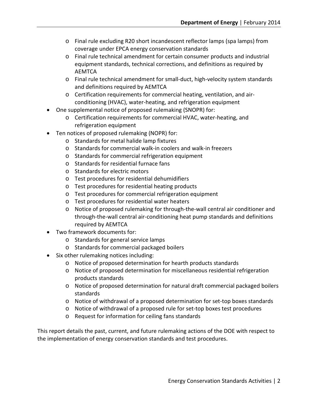- o Final rule excluding R20 short incandescent reflector lamps (spa lamps) from coverage under EPCA energy conservation standards
- o Final rule technical amendment for certain consumer products and industrial equipment standards, technical corrections, and definitions as required by AEMTCA
- o Final rule technical amendment for small-duct, high-velocity system standards and definitions required by AEMTCA
- o Certification requirements for commercial heating, ventilation, and airconditioning (HVAC), water-heating, and refrigeration equipment
- One supplemental notice of proposed rulemaking (SNOPR) for:
	- o Certification requirements for commercial HVAC, water-heating, and refrigeration equipment
- Ten notices of proposed rulemaking (NOPR) for:
	- o Standards for metal halide lamp fixtures
	- o Standards for commercial walk-in coolers and walk-in freezers
	- o Standards for commercial refrigeration equipment
	- o Standards for residential furnace fans
	- o Standards for electric motors
	- o Test procedures for residential dehumidifiers
	- o Test procedures for residential heating products
	- o Test procedures for commercial refrigeration equipment
	- o Test procedures for residential water heaters
	- o Notice of proposed rulemaking for through-the-wall central air conditioner and through-the-wall central air-conditioning heat pump standards and definitions required by AEMTCA
- Two framework documents for:
	- o Standards for general service lamps
	- o Standards for commercial packaged boilers
- Six other rulemaking notices including:
	- o Notice of proposed determination for hearth products standards
	- o Notice of proposed determination for miscellaneous residential refrigeration products standards
	- o Notice of proposed determination for natural draft commercial packaged boilers standards
	- o Notice of withdrawal of a proposed determination for set-top boxes standards
	- o Notice of withdrawal of a proposed rule for set-top boxes test procedures
	- o Request for information for ceiling fans standards

This report details the past, current, and future rulemaking actions of the DOE with respect to the implementation of energy conservation standards and test procedures.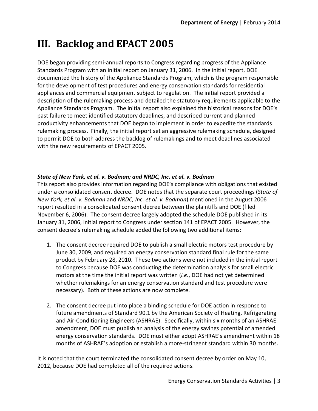# <span id="page-9-0"></span>**III. Backlog and EPACT 2005**

DOE began providing semi-annual reports to Congress regarding progress of the Appliance Standards Program with an initial report on January 31, 2006. In the initial report, DOE documented the history of the Appliance Standards Program, which is the program responsible for the development of test procedures and energy conservation standards for residential appliances and commercial equipment subject to regulation. The initial report provided a description of the rulemaking process and detailed the statutory requirements applicable to the Appliance Standards Program. The initial report also explained the historical reasons for DOE's past failure to meet identified statutory deadlines, and described current and planned productivity enhancements that DOE began to implement in order to expedite the standards rulemaking process. Finally, the initial report set an aggressive rulemaking schedule, designed to permit DOE to both address the backlog of rulemakings and to meet deadlines associated with the new requirements of EPACT 2005.

## *State of New York, et al. v. Bodman; and NRDC, Inc. et al. v. Bodman*

This report also provides information regarding DOE's compliance with obligations that existed under a consolidated consent decree. DOE notes that the separate court proceedings (*State of New York, et al. v. Bodman* and *NRDC, Inc. et al. v. Bodman*) mentioned in the August 2006 report resulted in a consolidated consent decree between the plaintiffs and DOE (filed November 6, 2006). The consent decree largely adopted the schedule DOE published in its January 31, 2006, initial report to Congress under section 141 of EPACT 2005. However, the consent decree's rulemaking schedule added the following two additional items:

- 1. The consent decree required DOE to publish a small electric motors test procedure by June 30, 2009, and required an energy conservation standard final rule for the same product by February 28, 2010. These two actions were not included in the initial report to Congress because DOE was conducting the determination analysis for small electric motors at the time the initial report was written (*i.e.*, DOE had not yet determined whether rulemakings for an energy conservation standard and test procedure were necessary). Both of these actions are now complete.
- 2. The consent decree put into place a binding schedule for DOE action in response to future amendments of Standard 90.1 by the American Society of Heating, Refrigerating and Air-Conditioning Engineers (ASHRAE). Specifically, within six months of an ASHRAE amendment, DOE must publish an analysis of the energy savings potential of amended energy conservation standards. DOE must either adopt ASHRAE's amendment within 18 months of ASHRAE's adoption or establish a more-stringent standard within 30 months.

It is noted that the court terminated the consolidated consent decree by order on May 10, 2012, because DOE had completed all of the required actions.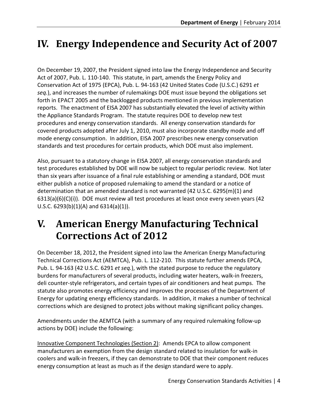# <span id="page-10-0"></span>**IV. Energy Independence and Security Act of 2007**

On December 19, 2007, the President signed into law the Energy Independence and Security Act of 2007, Pub. L. 110-140. This statute, in part, amends the Energy Policy and Conservation Act of 1975 (EPCA), Pub. L. 94-163 (42 United States Code (U.S.C.) 6291 *et seq.*), and increases the number of rulemakings DOE must issue beyond the obligations set forth in EPACT 2005 and the backlogged products mentioned in previous implementation reports. The enactment of EISA 2007 has substantially elevated the level of activity within the Appliance Standards Program. The statute requires DOE to develop new test procedures and energy conservation standards. All energy conservation standards for covered products adopted after July 1, 2010, must also incorporate standby mode and off mode energy consumption. In addition, EISA 2007 prescribes new energy conservation standards and test procedures for certain products, which DOE must also implement.

Also, pursuant to a statutory change in EISA 2007, all energy conservation standards and test procedures established by DOE will now be subject to regular periodic review. Not later than six years after issuance of a final rule establishing or amending a standard, DOE must either publish a notice of proposed rulemaking to amend the standard or a notice of determination that an amended standard is not warranted (42 U.S.C. 6295(m)(1) and  $6313(a)(6)(c)(i)$ ). DOE must review all test procedures at least once every seven years (42 U.S.C. 6293(b)(1)(A) and 6314(a)(1)).

## <span id="page-10-1"></span>**V. American Energy Manufacturing Technical Corrections Act of 2012**

On December 18, 2012, the President signed into law the American Energy Manufacturing Technical Corrections Act (AEMTCA), Pub. L. 112-210. This statute further amends EPCA, Pub. L. 94-163 (42 U.S.C. 6291 *et seq.*), with the stated purpose to reduce the regulatory burdens for manufacturers of several products, including water heaters, walk-in freezers, deli counter-style refrigerators, and certain types of air conditioners and heat pumps. The statute also promotes energy efficiency and improves the processes of the Department of Energy for updating energy efficiency standards. In addition, it makes a number of technical corrections which are designed to protect jobs without making significant policy changes.

Amendments under the AEMTCA (with a summary of any required rulemaking follow-up actions by DOE) include the following:

Innovative Component Technologies (Section 2): Amends EPCA to allow component manufacturers an exemption from the design standard related to insulation for walk-in coolers and walk-in freezers, if they can demonstrate to DOE that their component reduces energy consumption at least as much as if the design standard were to apply.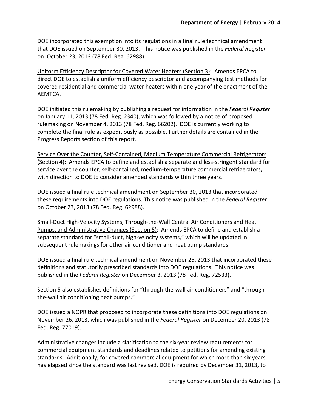DOE incorporated this exemption into its regulations in a final rule technical amendment that DOE issued on September 30, 2013. This notice was published in the *Federal Register* on October 23, 2013 (78 Fed. Reg. 62988).

Uniform Efficiency Descriptor for Covered Water Heaters (Section 3): Amends EPCA to direct DOE to establish a uniform efficiency descriptor and accompanying test methods for covered residential and commercial water heaters within one year of the enactment of the AEMTCA.

DOE initiated this rulemaking by publishing a request for information in the *Federal Register* on January 11, 2013 (78 Fed. Reg. 2340), which was followed by a notice of proposed rulemaking on November 4, 2013 (78 Fed. Reg. 66202). DOE is currently working to complete the final rule as expeditiously as possible. Further details are contained in the Progress Reports section of this report.

Service Over the Counter, Self-Contained, Medium Temperature Commercial Refrigerators (Section 4): Amends EPCA to define and establish a separate and less-stringent standard for service over the counter, self-contained, medium-temperature commercial refrigerators, with direction to DOE to consider amended standards within three years.

DOE issued a final rule technical amendment on September 30, 2013 that incorporated these requirements into DOE regulations. This notice was published in the *Federal Register* on October 23, 2013 (78 Fed. Reg. 62988).

Small-Duct High-Velocity Systems, Through-the-Wall Central Air Conditioners and Heat Pumps, and Administrative Changes (Section 5): Amends EPCA to define and establish a separate standard for "small-duct, high-velocity systems," which will be updated in subsequent rulemakings for other air conditioner and heat pump standards.

DOE issued a final rule technical amendment on November 25, 2013 that incorporated these definitions and statutorily prescribed standards into DOE regulations. This notice was published in the *Federal Register* on December 3, 2013 (78 Fed. Reg. 72533).

Section 5 also establishes definitions for "through-the-wall air conditioners" and "throughthe-wall air conditioning heat pumps."

DOE issued a NOPR that proposed to incorporate these definitions into DOE regulations on November 26, 2013, which was published in the *Federal Register* on December 20, 2013 (78 Fed. Reg. 77019).

Administrative changes include a clarification to the six-year review requirements for commercial equipment standards and deadlines related to petitions for amending existing standards. Additionally, for covered commercial equipment for which more than six years has elapsed since the standard was last revised, DOE is required by December 31, 2013, to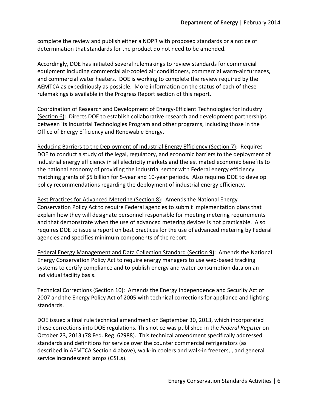complete the review and publish either a NOPR with proposed standards or a notice of determination that standards for the product do not need to be amended.

Accordingly, DOE has initiated several rulemakings to review standards for commercial equipment including commercial air-cooled air conditioners, commercial warm-air furnaces, and commercial water heaters. DOE is working to complete the review required by the AEMTCA as expeditiously as possible. More information on the status of each of these rulemakings is available in the Progress Report section of this report.

Coordination of Research and Development of Energy-Efficient Technologies for Industry (Section 6): Directs DOE to establish collaborative research and development partnerships between its Industrial Technologies Program and other programs, including those in the Office of Energy Efficiency and Renewable Energy.

Reducing Barriers to the Deployment of Industrial Energy Efficiency (Section 7): Requires DOE to conduct a study of the legal, regulatory, and economic barriers to the deployment of industrial energy efficiency in all electricity markets and the estimated economic benefits to the national economy of providing the industrial sector with Federal energy efficiency matching grants of \$5 billion for 5-year and 10-year periods. Also requires DOE to develop policy recommendations regarding the deployment of industrial energy efficiency.

Best Practices for Advanced Metering (Section 8): Amends the National Energy Conservation Policy Act to require Federal agencies to submit implementation plans that explain how they will designate personnel responsible for meeting metering requirements and that demonstrate when the use of advanced metering devices is not practicable. Also requires DOE to issue a report on best practices for the use of advanced metering by Federal agencies and specifies minimum components of the report.

Federal Energy Management and Data Collection Standard (Section 9): Amends the National Energy Conservation Policy Act to require energy managers to use web-based tracking systems to certify compliance and to publish energy and water consumption data on an individual facility basis.

Technical Corrections (Section 10): Amends the Energy Independence and Security Act of 2007 and the Energy Policy Act of 2005 with technical corrections for appliance and lighting standards.

DOE issued a final rule technical amendment on September 30, 2013, which incorporated these corrections into DOE regulations. This notice was published in the *Federal Register* on October 23, 2013 (78 Fed. Reg. 62988). This technical amendment specifically addressed standards and definitions for service over the counter commercial refrigerators (as described in AEMTCA Section 4 above), walk-in coolers and walk-in freezers, , and general service incandescent lamps (GSILs).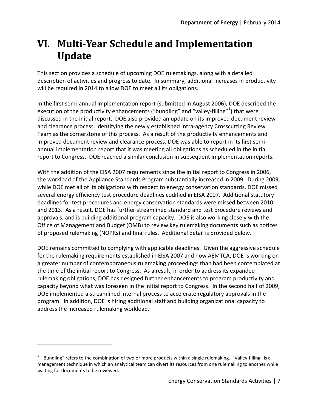# <span id="page-13-0"></span>**VI. Multi-Year Schedule and Implementation Update**

This section provides a schedule of upcoming DOE rulemakings, along with a detailed description of activities and progress to date. In summary, additional increases in productivity will be required in 2014 to allow DOE to meet all its obligations.

In the first semi-annual implementation report (submitted in August 2006), DOE described the execution of the productivity enhancements ("bundling" and "valley-filling"<sup>[1](#page-13-1)</sup>) that were discussed in the initial report. DOE also provided an update on its improved document review and clearance process, identifying the newly established intra-agency Crosscutting Review Team as the cornerstone of this process. As a result of the productivity enhancements and improved document review and clearance process, DOE was able to report in its first semiannual implementation report that it was meeting all obligations as scheduled in the initial report to Congress. DOE reached a similar conclusion in subsequent implementation reports.

With the addition of the EISA 2007 requirements since the initial report to Congress in 2006, the workload of the Appliance Standards Program substantially increased in 2009. During 2009, while DOE met all of its obligations with respect to energy conservation standards, DOE missed several energy efficiency test procedure deadlines codified in EISA 2007. Additional statutory deadlines for test procedures and energy conservation standards were missed between 2010 and 2013. As a result, DOE has further streamlined standard and test procedure reviews and approvals, and is building additional program capacity. DOE is also working closely with the Office of Management and Budget (OMB) to review key rulemaking documents such as notices of proposed rulemaking (NOPRs) and final rules. Additional detail is provided below.

DOE remains committed to complying with applicable deadlines. Given the aggressive schedule for the rulemaking requirements established in EISA 2007 and now AEMTCA, DOE is working on a greater number of contemporaneous rulemaking proceedings than had been contemplated at the time of the initial report to Congress. As a result, in order to address its expanded rulemaking obligations, DOE has designed further enhancements to program productivity and capacity beyond what was foreseen in the initial report to Congress. In the second half of 2009, DOE implemented a streamlined internal process to accelerate regulatory approvals in the program. In addition, DOE is hiring additional staff and building organizational capacity to address the increased rulemaking workload.

 $\overline{a}$ 

<span id="page-13-1"></span> $1$  "Bundling" refers to the combination of two or more products within a single rulemaking. "Valley-filling" is a management technique in which an analytical team can divert its resources from one rulemaking to another while waiting for documents to be reviewed.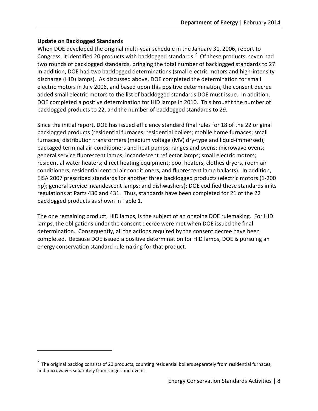### **Update on Backlogged Standards**

 $\overline{a}$ 

When DOE developed the original multi-year schedule in the January 31, 2006, report to Congress, it identified [2](#page-14-0)0 products with backlogged standards. $^2$  Of these products, seven had two rounds of backlogged standards, bringing the total number of backlogged standards to 27. In addition, DOE had two backlogged determinations (small electric motors and high-intensity discharge (HID) lamps). As discussed above, DOE completed the determination for small electric motors in July 2006, and based upon this positive determination, the consent decree added small electric motors to the list of backlogged standards DOE must issue. In addition, DOE completed a positive determination for HID lamps in 2010. This brought the number of backlogged products to 22, and the number of backlogged standards to 29.

Since the initial report, DOE has issued efficiency standard final rules for 18 of the 22 original backlogged products (residential furnaces; residential boilers; mobile home furnaces; small furnaces; distribution transformers (medium voltage (MV) dry-type and liquid-immersed); packaged terminal air-conditioners and heat pumps; ranges and ovens; microwave ovens; general service fluorescent lamps; incandescent reflector lamps; small electric motors; residential water heaters; direct heating equipment; pool heaters, clothes dryers, room air conditioners, residential central air conditioners, and fluorescent lamp ballasts). In addition, EISA 2007 prescribed standards for another three backlogged products (electric motors (1-200 hp); general service incandescent lamps; and dishwashers); DOE codified these standards in its regulations at Parts 430 and 431. Thus, standards have been completed for 21 of the 22 backlogged products as shown in Table 1.

The one remaining product, HID lamps, is the subject of an ongoing DOE rulemaking. For HID lamps, the obligations under the consent decree were met when DOE issued the final determination. Consequently, all the actions required by the consent decree have been completed. Because DOE issued a positive determination for HID lamps, DOE is pursuing an energy conservation standard rulemaking for that product.

<span id="page-14-0"></span> $2$  The original backlog consists of 20 products, counting residential boilers separately from residential furnaces, and microwaves separately from ranges and ovens.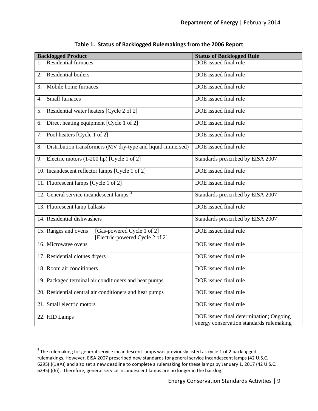| <b>Backlogged Product</b>                                                             | <b>Status of Backlogged Rule</b>                                                    |
|---------------------------------------------------------------------------------------|-------------------------------------------------------------------------------------|
| <b>Residential furnaces</b>                                                           | DOE issued final rule                                                               |
| Residential boilers<br>2.                                                             | DOE issued final rule                                                               |
| Mobile home furnaces<br>3.                                                            | DOE issued final rule                                                               |
| Small furnaces<br>4.                                                                  | DOE issued final rule                                                               |
| Residential water heaters [Cycle 2 of 2]<br>5.                                        | DOE issued final rule                                                               |
| Direct heating equipment [Cycle 1 of 2]<br>6.                                         | DOE issued final rule                                                               |
| Pool heaters [Cycle 1 of 2]<br>7.                                                     | DOE issued final rule                                                               |
| Distribution transformers (MV dry-type and liquid-immersed)<br>8.                     | DOE issued final rule                                                               |
| Electric motors (1-200 hp) [Cycle 1 of 2]<br>9.                                       | Standards prescribed by EISA 2007                                                   |
| 10. Incandescent reflector lamps [Cycle 1 of 2]                                       | DOE issued final rule                                                               |
| 11. Fluorescent lamps [Cycle 1 of 2]                                                  | DOE issued final rule                                                               |
| 12. General service incandescent lamps <sup>3</sup>                                   | Standards prescribed by EISA 2007                                                   |
| 13. Fluorescent lamp ballasts                                                         | DOE issued final rule                                                               |
| 14. Residential dishwashers                                                           | Standards prescribed by EISA 2007                                                   |
| [Gas-powered Cycle 1 of 2]<br>15. Ranges and ovens<br>[Electric-powered Cycle 2 of 2] | DOE issued final rule                                                               |
| 16. Microwave ovens                                                                   | DOE issued final rule                                                               |
| 17. Residential clothes dryers                                                        | DOE issued final rule                                                               |
| 18. Room air conditioners                                                             | DOE issued final rule                                                               |
| 19. Packaged terminal air conditioners and heat pumps                                 | DOE issued final rule                                                               |
| 20. Residential central air conditioners and heat pumps                               | DOE issued final rule                                                               |
| 21. Small electric motors                                                             | DOE issued final rule                                                               |
| 22. HID Lamps                                                                         | DOE issued final determination; Ongoing<br>energy conservation standards rulemaking |
|                                                                                       |                                                                                     |

**Table 1. Status of Backlogged Rulemakings from the 2006 Report**

 $\overline{a}$ 

<span id="page-15-0"></span><sup>&</sup>lt;sup>3</sup> The rulemaking for general service incandescent lamps was previously listed as cycle 1 of 2 backlogged rulemakings. However, EISA 2007 prescribed new standards for general service incandescent lamps (42 U.S.C. 6295(i)(1)(A)) and also set a new deadline to complete a rulemaking for these lamps by January 1, 2017 (42 U.S.C. 6295(i)(6)). Therefore, general service incandescent lamps are no longer in the backlog.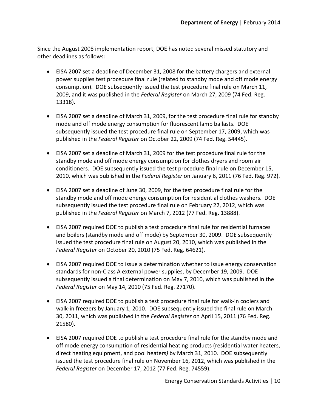Since the August 2008 implementation report, DOE has noted several missed statutory and other deadlines as follows:

- EISA 2007 set a deadline of December 31, 2008 for the battery chargers and external power supplies test procedure final rule (related to standby mode and off mode energy consumption). DOE subsequently issued the test procedure final rule on March 11, 2009, and it was published in the *Federal Register* on March 27, 2009 (74 Fed. Reg. 13318).
- EISA 2007 set a deadline of March 31, 2009, for the test procedure final rule for standby mode and off mode energy consumption for fluorescent lamp ballasts. DOE subsequently issued the test procedure final rule on September 17, 2009, which was published in the *Federal Register* on October 22, 2009 (74 Fed. Reg. 54445).
- EISA 2007 set a deadline of March 31, 2009 for the test procedure final rule for the standby mode and off mode energy consumption for clothes dryers and room air conditioners. DOE subsequently issued the test procedure final rule on December 15, 2010, which was published in the *Federal Register* on January 6, 2011 (76 Fed. Reg. 972).
- EISA 2007 set a deadline of June 30, 2009, for the test procedure final rule for the standby mode and off mode energy consumption for residential clothes washers. DOE subsequently issued the test procedure final rule on February 22, 2012, which was published in the *Federal Register* on March 7, 2012 (77 Fed. Reg. 13888).
- EISA 2007 required DOE to publish a test procedure final rule for residential furnaces and boilers (standby mode and off mode) by September 30, 2009. DOE subsequently issued the test procedure final rule on August 20, 2010, which was published in the *Federal Register* on October 20, 2010 (75 Fed. Reg. 64621).
- EISA 2007 required DOE to issue a determination whether to issue energy conservation standards for non-Class A external power supplies, by December 19, 2009. DOE subsequently issued a final determination on May 7, 2010, which was published in the *Federal Register* on May 14, 2010 (75 Fed. Reg. 27170).
- EISA 2007 required DOE to publish a test procedure final rule for walk-in coolers and walk-in freezers by January 1, 2010. DOE subsequently issued the final rule on March 30, 2011, which was published in the *Federal Register* on April 15, 2011 (76 Fed. Reg. 21580).
- EISA 2007 required DOE to publish a test procedure final rule for the standby mode and off mode energy consumption of residential heating products (residential water heaters, direct heating equipment, and pool heaters*)* by March 31, 2010. DOE subsequently issued the test procedure final rule on November 16, 2012, which was published in the *Federal Register* on December 17, 2012 (77 Fed. Reg. 74559).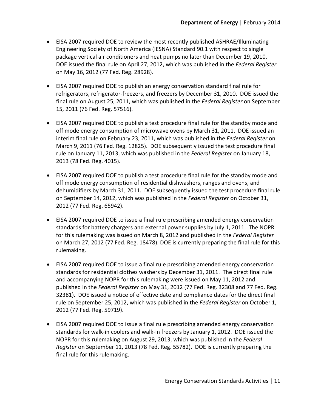- EISA 2007 required DOE to review the most recently published ASHRAE/Illuminating Engineering Society of North America (IESNA) Standard 90.1 with respect to single package vertical air conditioners and heat pumps no later than December 19, 2010. DOE issued the final rule on April 27, 2012, which was published in the *Federal Register*  on May 16, 2012 (77 Fed. Reg. 28928).
- EISA 2007 required DOE to publish an energy conservation standard final rule for refrigerators, refrigerator-freezers, and freezers by December 31, 2010. DOE issued the final rule on August 25, 2011, which was published in the *Federal Register* on September 15, 2011 (76 Fed. Reg. 57516).
- EISA 2007 required DOE to publish a test procedure final rule for the standby mode and off mode energy consumption of microwave ovens by March 31, 2011. DOE issued an interim final rule on February 23, 2011, which was published in the *Federal Register* on March 9, 2011 (76 Fed. Reg. 12825). DOE subsequently issued the test procedure final rule on January 11, 2013, which was published in the *Federal Register* on January 18, 2013 (78 Fed. Reg. 4015).
- EISA 2007 required DOE to publish a test procedure final rule for the standby mode and off mode energy consumption of residential dishwashers, ranges and ovens, and dehumidifiers by March 31, 2011. DOE subsequently issued the test procedure final rule on September 14, 2012, which was published in the *Federal Register* on October 31, 2012 (77 Fed. Reg. 65942).
- EISA 2007 required DOE to issue a final rule prescribing amended energy conservation standards for battery chargers and external power supplies by July 1, 2011. The NOPR for this rulemaking was issued on March 8, 2012 and published in the *Federal Register*  on March 27, 2012 (77 Fed. Reg. 18478). DOE is currently preparing the final rule for this rulemaking.
- EISA 2007 required DOE to issue a final rule prescribing amended energy conservation standards for residential clothes washers by December 31, 2011. The direct final rule and accompanying NOPR for this rulemaking were issued on May 11, 2012 and published in the *Federal Register* on May 31, 2012 (77 Fed. Reg. 32308 and 77 Fed. Reg. 32381). DOE issued a notice of effective date and compliance dates for the direct final rule on September 25, 2012, which was published in the *Federal Register* on October 1, 2012 (77 Fed. Reg. 59719).
- EISA 2007 required DOE to issue a final rule prescribing amended energy conservation standards for walk-in coolers and walk-in freezers by January 1, 2012. DOE issued the NOPR for this rulemaking on August 29, 2013, which was published in the *Federal Register* on September 11, 2013 (78 Fed. Reg. 55782). DOE is currently preparing the final rule for this rulemaking.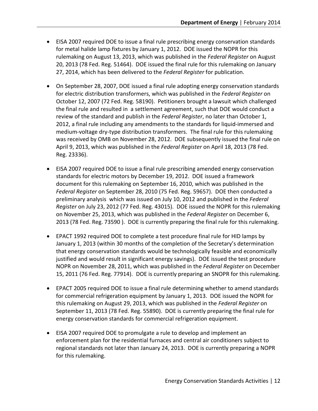- EISA 2007 required DOE to issue a final rule prescribing energy conservation standards for metal halide lamp fixtures by January 1, 2012. DOE issued the NOPR for this rulemaking on August 13, 2013, which was published in the *Federal Register* on August 20, 2013 (78 Fed. Reg. 51464). DOE issued the final rule for this rulemaking on January 27, 2014, which has been delivered to the *Federal Register* for publication.
- On September 28, 2007, DOE issued a final rule adopting energy conservation standards for electric distribution transformers, which was published in the *Federal Register* on October 12, 2007 (72 Fed. Reg. 58190). Petitioners brought a lawsuit which challenged the final rule and resulted in a settlement agreement, such that DOE would conduct a review of the standard and publish in the *Federal Register*, no later than October 1, 2012, a final rule including any amendments to the standards for liquid-immersed and medium-voltage dry-type distribution transformers. The final rule for this rulemaking was received by OMB on November 28, 2012. DOE subsequently issued the final rule on April 9, 2013, which was published in the *Federal Register* on April 18, 2013 (78 Fed. Reg. 23336).
- EISA 2007 required DOE to issue a final rule prescribing amended energy conservation standards for electric motors by December 19, 2012. DOE issued a framework document for this rulemaking on September 16, 2010, which was published in the *Federal Register* on September 28, 2010 (75 Fed. Reg. 59657). DOE then conducted a preliminary analysis which was issued on July 10, 2012 and published in the *Federal Register* on July 23, 2012 (77 Fed. Reg. 43015). DOE issued the NOPR for this rulemaking on November 25, 2013, which was published in the *Federal Register* on December 6, 2013 (78 Fed. Reg. 73590 ). DOE is currently preparing the final rule for this rulemaking.
- EPACT 1992 required DOE to complete a test procedure final rule for HID lamps by January 1, 2013 (within 30 months of the completion of the Secretary's determination that energy conservation standards would be technologically feasible and economically justified and would result in significant energy savings). DOE issued the test procedure NOPR on November 28, 2011, which was published in the *Federal Register* on December 15, 2011 (76 Fed. Reg. 77914). DOE is currently preparing an SNOPR for this rulemaking.
- EPACT 2005 required DOE to issue a final rule determining whether to amend standards for commercial refrigeration equipment by January 1, 2013. DOE issued the NOPR for this rulemaking on August 29, 2013, which was published in the *Federal Register* on September 11, 2013 (78 Fed. Reg. 55890). DOE is currently preparing the final rule for energy conservation standards for commercial refrigeration equipment.
- EISA 2007 required DOE to promulgate a rule to develop and implement an enforcement plan for the residential furnaces and central air conditioners subject to regional standards not later than January 24, 2013. DOE is currently preparing a NOPR for this rulemaking.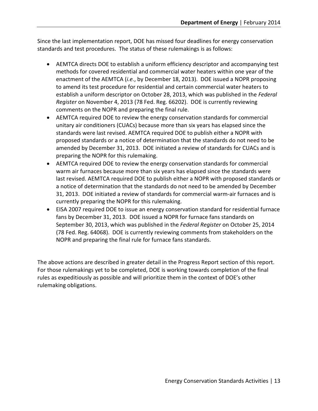Since the last implementation report, DOE has missed four deadlines for energy conservation standards and test procedures. The status of these rulemakings is as follows:

- AEMTCA directs DOE to establish a uniform efficiency descriptor and accompanying test methods for covered residential and commercial water heaters within one year of the enactment of the AEMTCA (*i.e.*, by December 18, 2013). DOE issued a NOPR proposing to amend its test procedure for residential and certain commercial water heaters to establish a uniform descriptor on October 28, 2013, which was published in the *Federal Register* on November 4, 2013 (78 Fed. Reg. 66202). DOE is currently reviewing comments on the NOPR and preparing the final rule.
- AEMTCA required DOE to review the energy conservation standards for commercial unitary air conditioners (CUACs) because more than six years has elapsed since the standards were last revised. AEMTCA required DOE to publish either a NOPR with proposed standards or a notice of determination that the standards do not need to be amended by December 31, 2013. DOE initiated a review of standards for CUACs and is preparing the NOPR for this rulemaking.
- AEMTCA required DOE to review the energy conservation standards for commercial warm air furnaces because more than six years has elapsed since the standards were last revised. AEMTCA required DOE to publish either a NOPR with proposed standards or a notice of determination that the standards do not need to be amended by December 31, 2013. DOE initiated a review of standards for commercial warm-air furnaces and is currently preparing the NOPR for this rulemaking.
- EISA 2007 required DOE to issue an energy conservation standard for residential furnace fans by December 31, 2013. DOE issued a NOPR for furnace fans standards on September 30, 2013, which was published in the *Federal Register* on October 25, 2014 (78 Fed. Reg. 64068). DOE is currently reviewing comments from stakeholders on the NOPR and preparing the final rule for furnace fans standards.

The above actions are described in greater detail in the Progress Report section of this report. For those rulemakings yet to be completed, DOE is working towards completion of the final rules as expeditiously as possible and will prioritize them in the context of DOE's other rulemaking obligations.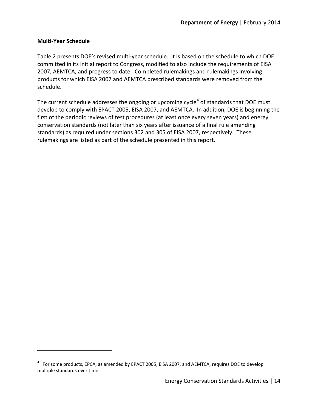#### **Multi-Year Schedule**

 $\overline{a}$ 

Table 2 presents DOE's revised multi-year schedule. It is based on the schedule to which DOE committed in its initial report to Congress, modified to also include the requirements of EISA 2007, AEMTCA, and progress to date. Completed rulemakings and rulemakings involving products for which EISA 2007 and AEMTCA prescribed standards were removed from the schedule.

The current schedule addresses the ongoing or upcoming cycle<sup>[4](#page-20-0)</sup> of standards that DOE must develop to comply with EPACT 2005, EISA 2007, and AEMTCA. In addition, DOE is beginning the first of the periodic reviews of test procedures (at least once every seven years) and energy conservation standards (not later than six years after issuance of a final rule amending standards) as required under sections 302 and 305 of EISA 2007, respectively. These rulemakings are listed as part of the schedule presented in this report.

<span id="page-20-0"></span> $4$  For some products, EPCA, as amended by EPACT 2005, EISA 2007, and AEMTCA, requires DOE to develop multiple standards over time.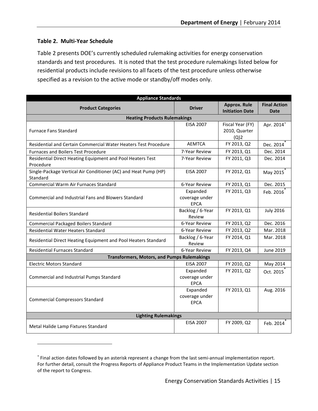## **Table 2. Multi-Year Schedule**

 $\overline{a}$ 

Table 2 presents DOE's currently scheduled rulemaking activities for energy conservation standards and test procedures. It is noted that the test procedure rulemakings listed below for residential products include revisions to all facets of the test procedure unless otherwise specified as a revision to the active mode or standby/off modes only.

| <b>Appliance Standards</b>                                                  |                                           |                                               |                                    |  |  |
|-----------------------------------------------------------------------------|-------------------------------------------|-----------------------------------------------|------------------------------------|--|--|
| <b>Product Categories</b>                                                   | <b>Driver</b>                             | <b>Approx. Rule</b><br><b>Initiation Date</b> | <b>Final Action</b><br><b>Date</b> |  |  |
| <b>Heating Products Rulemakings</b>                                         |                                           |                                               |                                    |  |  |
| <b>Furnace Fans Standard</b>                                                | <b>EISA 2007</b>                          | Fiscal Year (FY)<br>2010, Quarter<br>(Q)2     | Apr. 2014*                         |  |  |
| Residential and Certain Commercial Water Heaters Test Procedure             | <b>AEMTCA</b>                             | FY 2013, Q2                                   | Dec. 2014                          |  |  |
| <b>Furnaces and Boilers Test Procedure</b>                                  | 7-Year Review                             | FY 2013, Q1                                   | Dec. 2014                          |  |  |
| Residential Direct Heating Equipment and Pool Heaters Test<br>Procedure     | 7-Year Review                             | FY 2011, Q3                                   | Dec. 2014                          |  |  |
| Single-Package Vertical Air Conditioner (AC) and Heat Pump (HP)<br>Standard | <b>EISA 2007</b>                          | FY 2012, Q1                                   | May 2015                           |  |  |
| <b>Commercial Warm Air Furnaces Standard</b>                                | 6-Year Review                             | FY 2013, Q1                                   | Dec. 2015                          |  |  |
| <b>Commercial and Industrial Fans and Blowers Standard</b>                  | Expanded<br>coverage under<br><b>EPCA</b> | FY 2011, Q3                                   | Feb. 2016                          |  |  |
| <b>Residential Boilers Standard</b>                                         | Backlog / 6-Year<br>Review                | FY 2013, Q1                                   | <b>July 2016</b>                   |  |  |
| <b>Commercial Packaged Boilers Standard</b>                                 | 6-Year Review                             | FY 2013, Q2                                   | Dec. 2016                          |  |  |
| <b>Residential Water Heaters Standard</b>                                   | 6-Year Review                             | FY 2013, Q2                                   | Mar. 2018                          |  |  |
| Residential Direct Heating Equipment and Pool Heaters Standard              | Backlog / 6-Year<br>Review                | FY 2014, Q1                                   | Mar. 2018                          |  |  |
| <b>Residential Furnaces Standard</b>                                        | 6-Year Review                             | FY 2013, Q4                                   | <b>June 2019</b>                   |  |  |
| <b>Transformers, Motors, and Pumps Rulemakings</b>                          |                                           |                                               |                                    |  |  |
| <b>Electric Motors Standard</b>                                             | <b>EISA 2007</b>                          | FY 2010, Q2                                   | May 2014                           |  |  |
| Commercial and Industrial Pumps Standard                                    | Expanded<br>coverage under<br><b>EPCA</b> | FY 2011, Q2                                   | Oct. 2015                          |  |  |
| <b>Commercial Compressors Standard</b>                                      | Expanded<br>coverage under<br><b>EPCA</b> | FY 2013, Q1                                   | Aug. 2016                          |  |  |
| <b>Lighting Rulemakings</b>                                                 |                                           |                                               |                                    |  |  |
| Metal Halide Lamp Fixtures Standard                                         | <b>EISA 2007</b>                          | FY 2009, Q2                                   | Feb. 2014                          |  |  |

<span id="page-21-0"></span><sup>∗</sup> Final action dates followed by an asterisk represent a change from the last semi-annual implementation report. For further detail, consult the Progress Reports of Appliance Product Teams in the Implementation Update section of the report to Congress.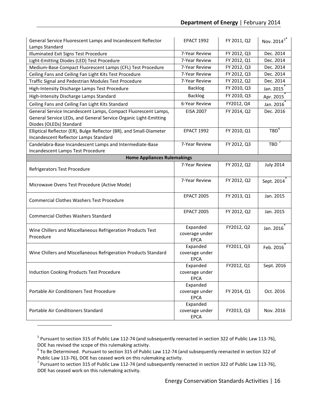| General Service Fluorescent Lamps and Incandescent Reflector<br>Lamps Standard                                                                                | <b>EPACT 1992</b>                         | FY 2011, Q2 | Nov. 2014 <sup>5*</sup> |
|---------------------------------------------------------------------------------------------------------------------------------------------------------------|-------------------------------------------|-------------|-------------------------|
| Illuminated Exit Signs Test Procedure                                                                                                                         | 7-Year Review                             | FY 2012, Q3 | Dec. 2014               |
| Light-Emitting Diodes (LED) Test Procedure                                                                                                                    | 7-Year Review                             | FY 2012, Q1 | Dec. 2014               |
| Medium-Base Compact Fluorescent Lamps (CFL) Test Procedure                                                                                                    | 7-Year Review                             | FY 2012, Q3 | Dec. 2014               |
| Ceiling Fans and Ceiling Fan Light Kits Test Procedure                                                                                                        | 7-Year Review                             | FY 2012, Q3 | Dec. 2014               |
| Traffic Signal and Pedestrian Modules Test Procedure                                                                                                          | 7-Year Review                             | FY 2012, Q2 | Dec. 2014               |
| High-Intensity Discharge Lamps Test Procedure                                                                                                                 | <b>Backlog</b>                            | FY 2010, Q3 | Jan. 2015               |
| High-Intensity Discharge Lamps Standard                                                                                                                       | <b>Backlog</b>                            | FY 2010, Q3 | Apr. 2015               |
| Ceiling Fans and Ceiling Fan Light Kits Standard                                                                                                              | 6-Year Review                             | FY2012, Q4  | Jan. 2016               |
| General Service Incandescent Lamps, Compact Fluorescent Lamps,<br>General Service LEDs, and General Service Organic Light-Emitting<br>Diodes (OLEDs) Standard | <b>EISA 2007</b>                          | FY 2014, Q2 | Dec. 2016               |
| Elliptical Reflector (ER), Bulge Reflector (BR), and Small-Diameter<br>Incandescent Reflector Lamps Standard                                                  | <b>EPACT 1992</b>                         | FY 2010, Q1 | TBD <sup>6</sup>        |
| Candelabra-Base Incandescent Lamps and Intermediate-Base<br>Incandescent Lamps Test Procedure                                                                 | 7-Year Review                             | FY 2012, Q3 | $TBD$ <sup>7</sup>      |
| <b>Home Appliances Rulemakings</b>                                                                                                                            |                                           |             |                         |
| Refrigerators Test Procedure                                                                                                                                  | 7-Year Review                             | FY 2012, Q2 | <b>July 2014</b>        |
| Microwave Ovens Test Procedure (Active Mode)                                                                                                                  | 7-Year Review                             | FY 2012, Q2 | Sept. 2014              |
| <b>Commercial Clothes Washers Test Procedure</b>                                                                                                              | <b>EPACT 2005</b>                         | FY 2013, Q1 | Jan. 2015               |
| <b>Commercial Clothes Washers Standard</b>                                                                                                                    | <b>EPACT 2005</b>                         | FY 2012, Q2 | Jan. 2015               |
| Wine Chillers and Miscellaneous Refrigeration Products Test<br>Procedure                                                                                      | Expanded<br>coverage under<br><b>EPCA</b> | FY2012, Q2  | Jan. 2016               |
| Wine Chillers and Miscellaneous Refrigeration Products Standard                                                                                               | Expanded<br>coverage under<br><b>EPCA</b> | FY2011, Q3  | Feb. 2016               |
| <b>Induction Cooking Products Test Procedure</b>                                                                                                              | Expanded<br>coverage under<br><b>EPCA</b> | FY2012, Q1  | Sept. 2016              |
| Portable Air Conditioners Test Procedure                                                                                                                      | Expanded<br>coverage under<br><b>EPCA</b> | FY 2014, Q1 | Oct. 2016               |
| Portable Air Conditioners Standard                                                                                                                            | Expanded<br>coverage under<br><b>EPCA</b> | FY2013, Q3  | Nov. 2016               |

<span id="page-22-0"></span><sup>&</sup>lt;sup>5</sup> Pursuant to section 315 of Public Law 112-74 (and subsequently reenacted in section 322 of Public Law 113-76), DOE has revised the scope of this rulemaking activity.

 $\overline{a}$ 

<span id="page-22-1"></span> $6$  To Be Determined. Pursuant to section 315 of Public Law 112-74 (and subsequently reenacted in section 322 of Public Law 113-76), DOE has ceased work on this rulemaking activity.

<span id="page-22-2"></span><sup>&</sup>lt;sup>7</sup> Pursuant to section 315 of Public Law 112-74 (and subsequently reenacted in section 322 of Public Law 113-76), DOE has ceased work on this rulemaking activity.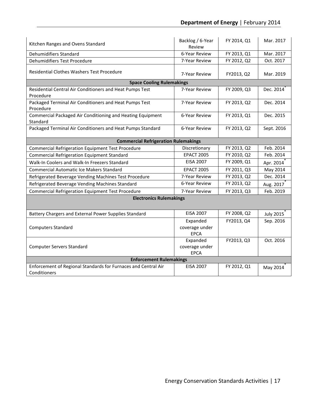| Kitchen Ranges and Ovens Standard                                   | Backlog / 6-Year<br>Review                  | FY 2014, Q1                | Mar. 2017             |  |  |  |  |
|---------------------------------------------------------------------|---------------------------------------------|----------------------------|-----------------------|--|--|--|--|
| Dehumidifiers Standard                                              | 6-Year Review                               | FY 2013, Q1                | Mar. 2017             |  |  |  |  |
| Dehumidifiers Test Procedure                                        | 7-Year Review                               | FY 2012, Q2                | Oct. 2017             |  |  |  |  |
| <b>Residential Clothes Washers Test Procedure</b>                   | 7-Year Review                               | FY2013, Q2                 | Mar. 2019             |  |  |  |  |
| <b>Space Cooling Rulemakings</b>                                    |                                             |                            |                       |  |  |  |  |
| Residential Central Air Conditioners and Heat Pumps Test            | 7-Year Review                               | FY 2009, Q3                | Dec. 2014             |  |  |  |  |
| Procedure                                                           |                                             |                            |                       |  |  |  |  |
| Packaged Terminal Air Conditioners and Heat Pumps Test<br>Procedure | 7-Year Review                               | FY 2013, Q2                | Dec. 2014             |  |  |  |  |
| Commercial Packaged Air Conditioning and Heating Equipment          | 6-Year Review                               | FY 2013, Q1                | Dec. 2015             |  |  |  |  |
| Standard                                                            |                                             |                            |                       |  |  |  |  |
| Packaged Terminal Air Conditioners and Heat Pumps Standard          | 6-Year Review                               | FY 2013, Q2                | Sept. 2016            |  |  |  |  |
|                                                                     | <b>Commercial Refrigeration Rulemakings</b> |                            |                       |  |  |  |  |
| Commercial Refrigeration Equipment Test Procedure                   | Discretionary                               | FY 2013, Q2                | Feb. 2014             |  |  |  |  |
| Commercial Refrigeration Equipment Standard                         | <b>EPACT 2005</b>                           | FY 2010, Q2                | Feb. 2014             |  |  |  |  |
| Walk-In Coolers and Walk-In Freezers Standard                       | <b>EISA 2007</b>                            | FY 2009, Q1                |                       |  |  |  |  |
| <b>Commercial Automatic Ice Makers Standard</b>                     | <b>EPACT 2005</b>                           |                            | Apr. 2014             |  |  |  |  |
|                                                                     | 7-Year Review                               | FY 2011, Q3<br>FY 2013, Q2 | May 2014<br>Dec. 2014 |  |  |  |  |
| Refrigerated Beverage Vending Machines Test Procedure               | 6-Year Review                               | FY 2013, Q2                |                       |  |  |  |  |
| Refrigerated Beverage Vending Machines Standard                     |                                             |                            | Aug. 2017             |  |  |  |  |
| <b>Commercial Refrigeration Equipment Test Procedure</b>            | 7-Year Review                               | FY 2013, Q3                | Feb. 2019             |  |  |  |  |
| <b>Electronics Rulemakings</b>                                      |                                             |                            |                       |  |  |  |  |
| Battery Chargers and External Power Supplies Standard               | <b>EISA 2007</b>                            | FY 2008, Q2                | <b>July 2015</b>      |  |  |  |  |
|                                                                     | Expanded                                    | FY2013, Q4                 | Sep. 2016             |  |  |  |  |
| <b>Computers Standard</b>                                           | coverage under                              |                            |                       |  |  |  |  |
|                                                                     | <b>EPCA</b>                                 |                            |                       |  |  |  |  |
|                                                                     | Expanded                                    | FY2013, Q3                 | Oct. 2016             |  |  |  |  |
| <b>Computer Servers Standard</b>                                    | coverage under                              |                            |                       |  |  |  |  |
|                                                                     | <b>EPCA</b>                                 |                            |                       |  |  |  |  |
| <b>Enforcement Rulemakings</b>                                      |                                             |                            |                       |  |  |  |  |
| Enforcement of Regional Standards for Furnaces and Central Air      | <b>EISA 2007</b>                            | FY 2012, Q1                | May 2014              |  |  |  |  |
| Conditioners                                                        |                                             |                            |                       |  |  |  |  |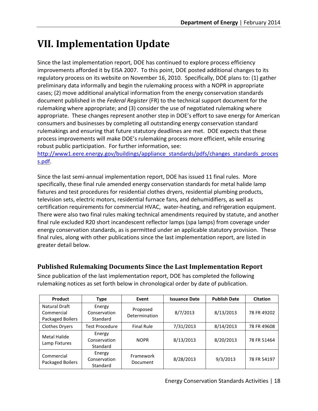# <span id="page-24-0"></span>**VII. Implementation Update**

Since the last implementation report, DOE has continued to explore process efficiency improvements afforded it by EISA 2007. To this point, DOE posted additional changes to its regulatory process on its website on November 16, 2010. Specifically, DOE plans to: (1) gather preliminary data informally and begin the rulemaking process with a NOPR in appropriate cases; (2) move additional analytical information from the energy conservation standards document published in the *Federal Register* (FR) to the technical support document for the rulemaking where appropriate; and (3) consider the use of negotiated rulemaking where appropriate. These changes represent another step in DOE's effort to save energy for American consumers and businesses by completing all outstanding energy conservation standard rulemakings and ensuring that future statutory deadlines are met. DOE expects that these process improvements will make DOE's rulemaking process more efficient, while ensuring robust public participation. For further information, see:

[http://www1.eere.energy.gov/buildings/appliance\\_standards/pdfs/changes\\_standards\\_proces](http://www1.eere.energy.gov/buildings/appliance_standards/pdfs/changes_standards_process.pdf) [s.pdf.](http://www1.eere.energy.gov/buildings/appliance_standards/pdfs/changes_standards_process.pdf)

Since the last semi-annual implementation report, DOE has issued 11 final rules. More specifically, these final rule amended energy conservation standards for metal halide lamp fixtures and test procedures for residential clothes dryers, residential plumbing products, television sets, electric motors, residential furnace fans, and dehumidifiers, as well as certification requirements for commercial HVAC, water-heating, and refrigeration equipment. There were also two final rules making technical amendments required by statute, and another final rule excluded R20 short incandescent reflector lamps (spa lamps) from coverage under energy conservation standards, as is permitted under an applicable statutory provision. These final rules, along with other publications since the last implementation report, are listed in greater detail below.

## <span id="page-24-1"></span>**Published Rulemaking Documents Since the Last Implementation Report**

Since publication of the last implementation report, DOE has completed the following rulemaking notices as set forth below in chronological order by date of publication.

| Product                                         | Type                               | Event                     | <b>Issuance Date</b> | <b>Publish Date</b> | <b>Citation</b> |
|-------------------------------------------------|------------------------------------|---------------------------|----------------------|---------------------|-----------------|
| Natural Draft<br>Commercial<br>Packaged Boilers | Energy<br>Conservation<br>Standard | Proposed<br>Determination | 8/7/2013             | 8/13/2013           | 78 FR 49202     |
| <b>Clothes Dryers</b>                           | <b>Test Procedure</b>              | <b>Final Rule</b>         | 7/31/2013            | 8/14/2013           | 78 FR 49608     |
| Metal Halide<br>Lamp Fixtures                   | Energy<br>Conservation<br>Standard | <b>NOPR</b>               | 8/13/2013            | 8/20/2013           | 78 FR 51464     |
| Commercial<br>Packaged Boilers                  | Energy<br>Conservation<br>Standard | Framework<br>Document     | 8/28/2013            | 9/3/2013            | 78 FR 54197     |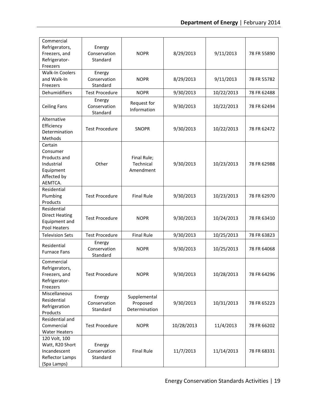| Commercial<br>Refrigerators,<br>Freezers, and<br>Refrigerator-<br>Freezers                | Energy<br>Conservation<br>Standard | <b>NOPR</b>                               | 8/29/2013  | 9/11/2013  | 78 FR 55890 |
|-------------------------------------------------------------------------------------------|------------------------------------|-------------------------------------------|------------|------------|-------------|
| <b>Walk-In Coolers</b><br>and Walk-In<br>Freezers                                         | Energy<br>Conservation<br>Standard | <b>NOPR</b>                               | 8/29/2013  | 9/11/2013  | 78 FR 55782 |
| Dehumidifiers                                                                             | <b>Test Procedure</b>              | <b>NOPR</b>                               | 9/30/2013  | 10/22/2013 | 78 FR 62488 |
| <b>Ceiling Fans</b>                                                                       | Energy<br>Conservation<br>Standard | Request for<br>Information                | 9/30/2013  | 10/22/2013 | 78 FR 62494 |
| Alternative<br>Efficiency<br>Determination<br>Methods                                     | <b>Test Procedure</b>              | <b>SNOPR</b>                              | 9/30/2013  | 10/22/2013 | 78 FR 62472 |
| Certain<br>Consumer<br>Products and<br>Industrial<br>Equipment<br>Affected by<br>AEMTCA.  | Other                              | Final Rule;<br>Technical<br>Amendment     | 9/30/2013  | 10/23/2013 | 78 FR 62988 |
| Residential<br>Plumbing<br>Products                                                       | <b>Test Procedure</b>              | <b>Final Rule</b>                         | 9/30/2013  | 10/23/2013 | 78 FR 62970 |
| Residential<br><b>Direct Heating</b><br>Equipment and<br>Pool Heaters                     | <b>Test Procedure</b>              | <b>NOPR</b>                               | 9/30/2013  | 10/24/2013 | 78 FR 63410 |
| <b>Television Sets</b>                                                                    | <b>Test Procedure</b>              | <b>Final Rule</b>                         | 9/30/2013  | 10/25/2013 | 78 FR 63823 |
| Residential<br><b>Furnace Fans</b>                                                        | Energy<br>Conservation<br>Standard | <b>NOPR</b>                               | 9/30/2013  | 10/25/2013 | 78 FR 64068 |
| Commercial<br>Refrigerators,<br>Freezers, and<br>Refrigerator-<br>Freezers                | <b>Test Procedure</b>              | <b>NOPR</b>                               | 9/30/2013  | 10/28/2013 | 78 FR 64296 |
| Miscellaneous<br>Residential<br>Refrigeration<br>Products                                 | Energy<br>Conservation<br>Standard | Supplemental<br>Proposed<br>Determination | 9/30/2013  | 10/31/2013 | 78 FR 65223 |
| Residential and<br>Commercial<br><b>Water Heaters</b>                                     | <b>Test Procedure</b>              | <b>NOPR</b>                               | 10/28/2013 | 11/4/2013  | 78 FR 66202 |
| 120 Volt, 100<br>Watt, R20 Short<br>Incandescent<br><b>Reflector Lamps</b><br>(Spa Lamps) | Energy<br>Conservation<br>Standard | <b>Final Rule</b>                         | 11/7/2013  | 11/14/2013 | 78 FR 68331 |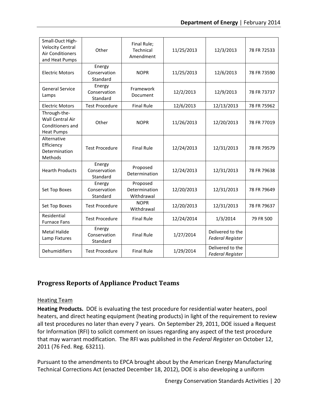| Small-Duct High-<br><b>Velocity Central</b><br><b>Air Conditioners</b><br>and Heat Pumps | Other                              | Final Rule;<br>Technical<br>Amendment   | 11/25/2013 | 12/3/2013                                   | 78 FR 72533 |
|------------------------------------------------------------------------------------------|------------------------------------|-----------------------------------------|------------|---------------------------------------------|-------------|
| <b>Electric Motors</b>                                                                   | Energy<br>Conservation<br>Standard | <b>NOPR</b>                             | 11/25/2013 | 12/6/2013                                   | 78 FR 73590 |
| <b>General Service</b><br>Lamps                                                          | Energy<br>Conservation<br>Standard | Framework<br>Document                   | 12/2/2013  | 12/9/2013                                   | 78 FR 73737 |
| <b>Electric Motors</b>                                                                   | <b>Test Procedure</b>              | <b>Final Rule</b>                       | 12/6/2013  | 12/13/2013                                  | 78 FR 75962 |
| Through-the-<br>Wall Central Air<br>Conditioners and<br><b>Heat Pumps</b>                | Other                              | <b>NOPR</b>                             | 11/26/2013 | 12/20/2013                                  | 78 FR 77019 |
| Alternative<br>Efficiency<br>Determination<br>Methods                                    | <b>Test Procedure</b>              | <b>Final Rule</b>                       | 12/24/2013 | 12/31/2013                                  | 78 FR 79579 |
| <b>Hearth Products</b>                                                                   | Energy<br>Conservation<br>Standard | Proposed<br>Determination               | 12/24/2013 | 12/31/2013                                  | 78 FR 79638 |
| Set Top Boxes                                                                            | Energy<br>Conservation<br>Standard | Proposed<br>Determination<br>Withdrawal | 12/20/2013 | 12/31/2013                                  | 78 FR 79649 |
| Set Top Boxes                                                                            | <b>Test Procedure</b>              | <b>NOPR</b><br>Withdrawal               | 12/20/2013 | 12/31/2013                                  | 78 FR 79637 |
| Residential<br><b>Furnace Fans</b>                                                       | <b>Test Procedure</b>              | <b>Final Rule</b>                       | 12/24/2014 | 1/3/2014                                    | 79 FR 500   |
| <b>Metal Halide</b><br>Lamp Fixtures                                                     | Energy<br>Conservation<br>Standard | <b>Final Rule</b>                       | 1/27/2014  | Delivered to the<br><b>Federal Register</b> |             |
| Dehumidifiers                                                                            | <b>Test Procedure</b>              | <b>Final Rule</b>                       | 1/29/2014  | Delivered to the<br><b>Federal Register</b> |             |

## <span id="page-26-0"></span>**Progress Reports of Appliance Product Teams**

## <span id="page-26-1"></span>Heating Team

**Heating Products.** DOE is evaluating the test procedure for residential water heaters, pool heaters, and direct heating equipment (heating products) in light of the requirement to review all test procedures no later than every 7 years. On September 29, 2011, DOE issued a Request for Information (RFI) to solicit comment on issues regarding any aspect of the test procedure that may warrant modification. The RFI was published in the *Federal Register* on October 12, 2011 (76 Fed. Reg. 63211).

Pursuant to the amendments to EPCA brought about by the American Energy Manufacturing Technical Corrections Act (enacted December 18, 2012), DOE is also developing a uniform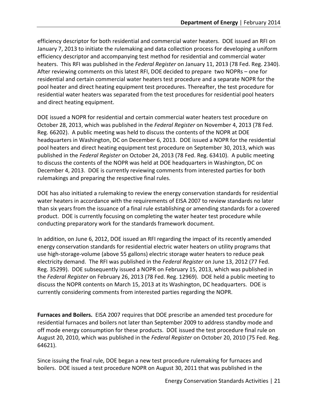efficiency descriptor for both residential and commercial water heaters. DOE issued an RFI on January 7, 2013 to initiate the rulemaking and data collection process for developing a uniform efficiency descriptor and accompanying test method for residential and commercial water heaters. This RFI was published in the *Federal Register* on January 11, 2013 (78 Fed. Reg. 2340). After reviewing comments on this latest RFI, DOE decided to prepare two NOPRs – one for residential and certain commercial water heaters test procedure and a separate NOPR for the pool heater and direct heating equipment test procedures. Thereafter, the test procedure for residential water heaters was separated from the test procedures for residential pool heaters and direct heating equipment.

DOE issued a NOPR for residential and certain commercial water heaters test procedure on October 28, 2013, which was published in the *Federal Register* on November 4, 2013 (78 Fed. Reg. 66202). A public meeting was held to discuss the contents of the NOPR at DOE headquarters in Washington, DC on December 6, 2013. DOE issued a NOPR for the residential pool heaters and direct heating equipment test procedure on September 30, 2013, which was published in the *Federal Register* on October 24, 2013 (78 Fed. Reg. 63410). A public meeting to discuss the contents of the NOPR was held at DOE headquarters in Washington, DC on December 4, 2013. DOE is currently reviewing comments from interested parties for both rulemakings and preparing the respective final rules.

DOE has also initiated a rulemaking to review the energy conservation standards for residential water heaters in accordance with the requirements of EISA 2007 to review standards no later than six years from the issuance of a final rule establishing or amending standards for a covered product. DOE is currently focusing on completing the water heater test procedure while conducting preparatory work for the standards framework document.

In addition, on June 6, 2012, DOE issued an RFI regarding the impact of its recently amended energy conservation standards for residential electric water heaters on utility programs that use high-storage-volume (above 55 gallons) electric storage water heaters to reduce peak electricity demand. The RFI was published in the *Federal Register* on June 13, 2012 (77 Fed. Reg. 35299). DOE subsequently issued a NOPR on February 15, 2013, which was published in the *Federal Register* on February 26, 2013 (78 Fed. Reg. 12969). DOE held a public meeting to discuss the NOPR contents on March 15, 2013 at its Washington, DC headquarters. DOE is currently considering comments from interested parties regarding the NOPR.

**Furnaces and Boilers.** EISA 2007 requires that DOE prescribe an amended test procedure for residential furnaces and boilers not later than September 2009 to address standby mode and off mode energy consumption for these products. DOE issued the test procedure final rule on August 20, 2010, which was published in the *Federal Register* on October 20, 2010 (75 Fed. Reg. 64621).

Since issuing the final rule, DOE began a new test procedure rulemaking for furnaces and boilers. DOE issued a test procedure NOPR on August 30, 2011 that was published in the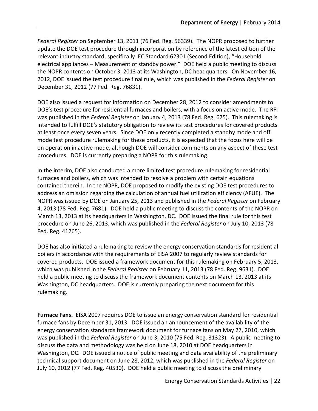*Federal Register* on September 13, 2011 (76 Fed. Reg. 56339). The NOPR proposed to further update the DOE test procedure through incorporation by reference of the latest edition of the relevant industry standard, specifically IEC Standard 62301 (Second Edition), "Household electrical appliances – Measurement of standby power." DOE held a public meeting to discuss the NOPR contents on October 3, 2013 at its Washington, DC headquarters. On November 16, 2012, DOE issued the test procedure final rule, which was published in the *Federal Register* on December 31, 2012 (77 Fed. Reg. 76831).

DOE also issued a request for information on December 28, 2012 to consider amendments to DOE's test procedure for residential furnaces and boilers, with a focus on active mode. The RFI was published in the *Federal Register* on January 4, 2013 (78 Fed. Reg. 675). This rulemaking is intended to fulfill DOE's statutory obligation to review its test procedures for covered products at least once every seven years. Since DOE only recently completed a standby mode and off mode test procedure rulemaking for these products, it is expected that the focus here will be on operation in active mode, although DOE will consider comments on any aspect of these test procedures. DOE is currently preparing a NOPR for this rulemaking.

In the interim, DOE also conducted a more limited test procedure rulemaking for residential furnaces and boilers, which was intended to resolve a problem with certain equations contained therein. In the NOPR, DOE proposed to modify the existing DOE test procedures to address an omission regarding the calculation of annual fuel utilization efficiency (AFUE). The NOPR was issued by DOE on January 25, 2013 and published in the *Federal Register* on February 4, 2013 (78 Fed. Reg. 7681). DOE held a public meeting to discuss the contents of the NOPR on March 13, 2013 at its headquarters in Washington, DC. DOE issued the final rule for this test procedure on June 26, 2013, which was published in the *Federal Register* on July 10, 2013 (78 Fed. Reg. 41265).

DOE has also initiated a rulemaking to review the energy conservation standards for residential boilers in accordance with the requirements of EISA 2007 to regularly review standards for covered products. DOE issued a framework document for this rulemaking on February 5, 2013, which was published in the *Federal Register* on February 11, 2013 (78 Fed. Reg. 9631). DOE held a public meeting to discuss the framework document contents on March 13, 2013 at its Washington, DC headquarters. DOE is currently preparing the next document for this rulemaking.

**Furnace Fans.** EISA 2007 requires DOE to issue an energy conservation standard for residential furnace fans by December 31, 2013. DOE issued an announcement of the availability of the energy conservation standards framework document for furnace fans on May 27, 2010, which was published in the *Federal Register* on June 3, 2010 (75 Fed. Reg. 31323). A public meeting to discuss the data and methodology was held on June 18, 2010 at DOE headquarters in Washington, DC. DOE issued a notice of public meeting and data availability of the preliminary technical support document on June 28, 2012, which was published in the *Federal Register* on July 10, 2012 (77 Fed. Reg. 40530). DOE held a public meeting to discuss the preliminary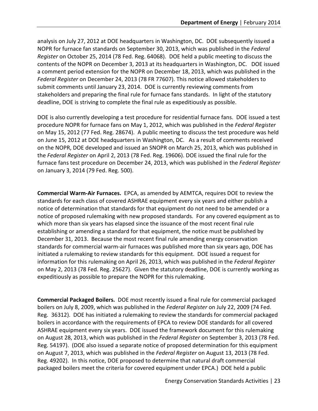analysis on July 27, 2012 at DOE headquarters in Washington, DC. DOE subsequently issued a NOPR for furnace fan standards on September 30, 2013, which was published in the *Federal Register* on October 25, 2014 (78 Fed. Reg. 64068). DOE held a public meeting to discuss the contents of the NOPR on December 3, 2013 at its headquarters in Washington, DC. DOE issued a comment period extension for the NOPR on December 18, 2013, which was published in the *Federal Register* on December 24, 2013 (78 FR 77607). This notice allowed stakeholders to submit comments until January 23, 2014. DOE is currently reviewing comments from stakeholders and preparing the final rule for furnace fans standards. In light of the statutory deadline, DOE is striving to complete the final rule as expeditiously as possible.

DOE is also currently developing a test procedure for residential furnace fans. DOE issued a test procedure NOPR for furnace fans on May 1, 2012, which was published in the *Federal Register*  on May 15, 2012 (77 Fed. Reg. 28674). A public meeting to discuss the test procedure was held on June 15, 2012 at DOE headquarters in Washington, DC. As a result of comments received on the NOPR, DOE developed and issued an SNOPR on March 25, 2013, which was published in the *Federal Register* on April 2, 2013 (78 Fed. Reg. 19606). DOE issued the final rule for the furnace fans test procedure on December 24, 2013, which was published in the *Federal Register* on January 3, 2014 (79 Fed. Reg. 500).

**Commercial Warm-Air Furnaces.** EPCA, as amended by AEMTCA, requires DOE to review the standards for each class of covered ASHRAE equipment every six years and either publish a notice of determination that standards for that equipment do not need to be amended or a notice of proposed rulemaking with new proposed standards. For any covered equipment as to which more than six years has elapsed since the issuance of the most recent final rule establishing or amending a standard for that equipment, the notice must be published by December 31, 2013. Because the most recent final rule amending energy conservation standards for commercial warm-air furnaces was published more than six years ago, DOE has initiated a rulemaking to review standards for this equipment. DOE issued a request for information for this rulemaking on April 26, 2013, which was published in the *Federal Register* on May 2, 2013 (78 Fed. Reg. 25627). Given the statutory deadline, DOE is currently working as expeditiously as possible to prepare the NOPR for this rulemaking.

**Commercial Packaged Boilers.** DOE most recently issued a final rule for commercial packaged boilers on July 8, 2009, which was published in the *Federal Register* on July 22, 2009 (74 Fed. Reg. 36312). DOE has initiated a rulemaking to review the standards for commercial packaged boilers in accordance with the requirements of EPCA to review DOE standards for all covered ASHRAE equipment every six years. DOE issued the framework document for this rulemaking on August 28, 2013, which was published in the *Federal Register* on September 3, 2013 (78 Fed. Reg. 54197). (DOE also issued a separate notice of proposed determination for this equipment on August 7, 2013, which was published in the *Federal Register* on August 13, 2013 (78 Fed. Reg. 49202). In this notice, DOE proposed to determine that natural draft commercial packaged boilers meet the criteria for covered equipment under EPCA.) DOE held a public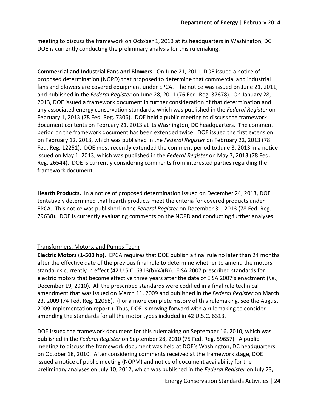meeting to discuss the framework on October 1, 2013 at its headquarters in Washington, DC. DOE is currently conducting the preliminary analysis for this rulemaking.

**Commercial and Industrial Fans and Blowers.** On June 21, 2011, DOE issued a notice of proposed determination (NOPD) that proposed to determine that commercial and industrial fans and blowers are covered equipment under EPCA. The notice was issued on June 21, 2011, and published in the *Federal Register* on June 28, 2011 (76 Fed. Reg. 37678). On January 28, 2013, DOE issued a framework document in further consideration of that determination and any associated energy conservation standards, which was published in the *Federal Register* on February 1, 2013 (78 Fed. Reg. 7306). DOE held a public meeting to discuss the framework document contents on February 21, 2013 at its Washington, DC headquarters. The comment period on the framework document has been extended twice. DOE issued the first extension on February 12, 2013, which was published in the *Federal Register* on February 22, 2013 (78 Fed. Reg. 12251). DOE most recently extended the comment period to June 3, 2013 in a notice issued on May 1, 2013, which was published in the *Federal Register* on May 7, 2013 (78 Fed. Reg. 26544). DOE is currently considering comments from interested parties regarding the framework document.

**Hearth Products.** In a notice of proposed determination issued on December 24, 2013, DOE tentatively determined that hearth products meet the criteria for covered products under EPCA. This notice was published in the *Federal Register* on December 31, 2013 (78 Fed. Reg. 79638). DOE is currently evaluating comments on the NOPD and conducting further analyses.

## <span id="page-30-0"></span>Transformers, Motors, and Pumps Team

**Electric Motors (1-500 hp).** EPCA requires that DOE publish a final rule no later than 24 months after the effective date of the previous final rule to determine whether to amend the motors standards currently in effect (42 U.S.C. 6313(b)(4)(B)). EISA 2007 prescribed standards for electric motors that become effective three years after the date of EISA 2007's enactment (*i.e.*, December 19, 2010). All the prescribed standards were codified in a final rule technical amendment that was issued on March 11, 2009 and published in the *Federal Register* on March 23, 2009 (74 Fed. Reg. 12058). (For a more complete history of this rulemaking, see the August 2009 implementation report.) Thus, DOE is moving forward with a rulemaking to consider amending the standards for all the motor types included in 42 U.S.C. 6313.

DOE issued the framework document for this rulemaking on September 16, 2010, which was published in the *Federal Register* on September 28, 2010 (75 Fed. Reg. 59657). A public meeting to discuss the framework document was held at DOE's Washington, DC headquarters on October 18, 2010. After considering comments received at the framework stage, DOE issued a notice of public meeting (NOPM) and notice of document availability for the preliminary analyses on July 10, 2012, which was published in the *Federal Register* on July 23,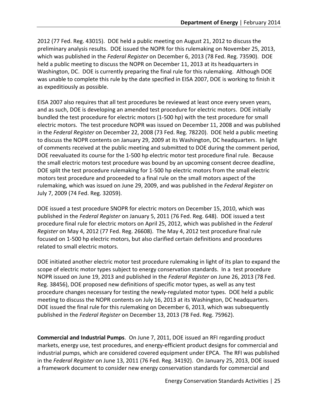2012 (77 Fed. Reg. 43015). DOE held a public meeting on August 21, 2012 to discuss the preliminary analysis results. DOE issued the NOPR for this rulemaking on November 25, 2013, which was published in the *Federal Register* on December 6, 2013 (78 Fed. Reg. 73590). DOE held a public meeting to discuss the NOPR on December 11, 2013 at its headquarters in Washington, DC. DOE is currently preparing the final rule for this rulemaking. Although DOE was unable to complete this rule by the date specified in EISA 2007, DOE is working to finish it as expeditiously as possible.

EISA 2007 also requires that all test procedures be reviewed at least once every seven years, and as such, DOE is developing an amended test procedure for electric motors. DOE initially bundled the test procedure for electric motors (1-500 hp) with the test procedure for small electric motors. The test procedure NOPR was issued on December 11, 2008 and was published in the *Federal Register* on December 22, 2008 (73 Fed. Reg. 78220). DOE held a public meeting to discuss the NOPR contents on January 29, 2009 at its Washington, DC headquarters. In light of comments received at the public meeting and submitted to DOE during the comment period, DOE reevaluated its course for the 1-500 hp electric motor test procedure final rule. Because the small electric motors test procedure was bound by an upcoming consent decree deadline, DOE split the test procedure rulemaking for 1-500 hp electric motors from the small electric motors test procedure and proceeded to a final rule on the small motors aspect of the rulemaking, which was issued on June 29, 2009, and was published in the *Federal Register* on July 7, 2009 (74 Fed. Reg. 32059).

DOE issued a test procedure SNOPR for electric motors on December 15, 2010, which was published in the *Federal Register* on January 5, 2011 (76 Fed. Reg. 648). DOE issued a test procedure final rule for electric motors on April 25, 2012, which was published in the *Federal Register* on May 4, 2012 (77 Fed. Reg. 26608). The May 4, 2012 test procedure final rule focused on 1-500 hp electric motors, but also clarified certain definitions and procedures related to small electric motors.

DOE initiated another electric motor test procedure rulemaking in light of its plan to expand the scope of electric motor types subject to energy conservation standards. In a test procedure NOPR issued on June 19, 2013 and published in the *Federal Register* on June 26, 2013 (78 Fed. Reg. 38456), DOE proposed new definitions of specific motor types, as well as any test procedure changes necessary for testing the newly-regulated motor types. DOE held a public meeting to discuss the NOPR contents on July 16, 2013 at its Washington, DC headquarters. DOE issued the final rule for this rulemaking on December 6, 2013, which was subsequently published in the *Federal Register* on December 13, 2013 (78 Fed. Reg. 75962).

**Commercial and Industrial Pumps**. On June 7, 2011, DOE issued an RFI regarding product markets, energy use, test procedures, and energy-efficient product designs for commercial and industrial pumps, which are considered covered equipment under EPCA. The RFI was published in the *Federal Register* on June 13, 2011 (76 Fed. Reg. 34192). On January 25, 2013, DOE issued a framework document to consider new energy conservation standards for commercial and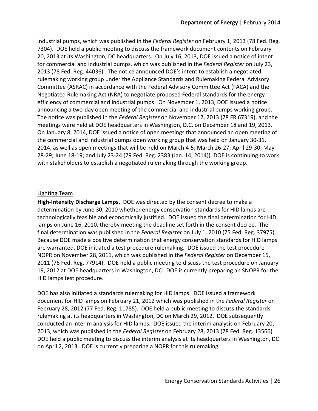industrial pumps, which was published in the *Federal Register* on February 1, 2013 (78 Fed. Reg. 7304). DOE held a public meeting to discuss the framework document contents on February 20, 2013 at its Washington, DC headquarters. On July 16, 2013, DOE issued a notice of intent for commercial and industrial pumps, which was published in the *Federal Register* on July 23, 2013 (78 Fed. Reg. 44036). The notice announced DOE's intent to establish a negotiated rulemaking working group under the Appliance Standards and Rulemaking Federal Advisory Committee (ASRAC) in accordance with the Federal Advisory Committee Act (FACA) and the Negotiated Rulemaking Act (NRA) to negotiate proposed Federal standards for the energy efficiency of commercial and industrial pumps. On November 1, 2013, DOE issued a notice announcing a two-day open meeting of the commercial and industrial pumps working group. The notice was published in the *Federal Register* on November 12, 2013 (78 FR 67319), and the meetings were held at DOE headquarters in Washington, D.C. on December 18 and 19, 2013. On January 8, 2014, DOE issued a notice of open meetings that announced an open meeting of the commercial and industrial pumps open working group that was held on January 30-31, 2014, as well as open meetings that will be held on March 4-5; March 26-27; April 29-30; May 28-29; June 18-19; and July 23-24 (79 Fed. Reg. 2383 (Jan. 14, 2014)). DOE is continuing to work with stakeholders to establish a negotiated rulemaking through the working group.

#### <span id="page-32-0"></span>Lighting Team

**High-Intensity Discharge Lamps.** DOE was directed by the consent decree to make a determination by June 30, 2010 whether energy conservation standards for HID lamps are technologically feasible and economically justified. DOE issued the final determination for HID lamps on June 16, 2010, thereby meeting the deadline set forth in the consent decree. The final determination was published in the *Federal Register* on July 1, 2010 (75 Fed. Reg. 37975). Because DOE made a positive determination that energy conservation standards for HID lamps are warranted, DOE initiated a test procedure rulemaking. DOE issued the test procedure NOPR on November 28, 2011, which was published in the *Federal Register* on December 15, 2011 (76 Fed. Reg. 77914). DOE held a public meeting to discuss the test procedure on January 19, 2012 at DOE headquarters in Washington, DC. DOE is currently preparing an SNOPR for the HID lamps test procedure.

DOE has also initiated a standards rulemaking for HID lamps. DOE issued a framework document for HID lamps on February 21, 2012 which was published in the *Federal Register* on February 28, 2012 (77 Fed. Reg. 11785). DOE held a public meeting to discuss the standards rulemaking at its headquarters in Washington, DC on March 29, 2012. DOE subsequently conducted an interim analysis for HID lamps. DOE issued the interim analysis on February 20, 2013, which was published in the *Federal Register* on February 28, 2013 (78 Fed. Reg. 13566)*.* DOE held a public meeting to discuss the interim analysis at its headquarters in Washington, DC on April 2, 2013. DOE is currently preparing a NOPR for this rulemaking.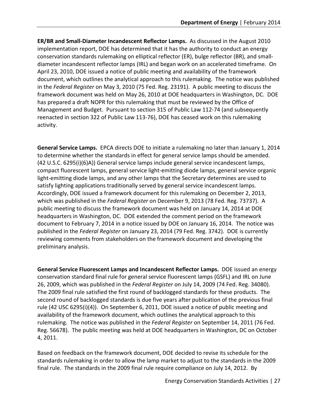**ER/BR and Small-Diameter Incandescent Reflector Lamps.** As discussed in the August 2010 implementation report, DOE has determined that it has the authority to conduct an energy conservation standards rulemaking on elliptical reflector (ER), bulge reflector (BR), and smalldiameter incandescent reflector lamps (IRL) and began work on an accelerated timeframe. On April 23, 2010, DOE issued a notice of public meeting and availability of the framework document, which outlines the analytical approach to this rulemaking. The notice was published in the *Federal Register* on May 3, 2010 (75 Fed. Reg. 23191). A public meeting to discuss the framework document was held on May 26, 2010 at DOE headquarters in Washington, DC. DOE has prepared a draft NOPR for this rulemaking that must be reviewed by the Office of Management and Budget. Pursuant to section 315 of Public Law 112-74 (and subsequently reenacted in section 322 of Public Law 113-76), DOE has ceased work on this rulemaking activity.

**General Service Lamps.** EPCA directs DOE to initiate a rulemaking no later than January 1, 2014 to determine whether the standards in effect for general service lamps should be amended. (42 U.S.C. 6295(i)(6)A)) General service lamps include general service incandescent lamps, compact fluorescent lamps, general service light-emitting diode lamps, general service organic light-emitting diode lamps, and any other lamps that the Secretary determines are used to satisfy lighting applications traditionally served by general service incandescent lamps. Accordingly, DOE issued a framework document for this rulemaking on December 2, 2013, which was published in the *Federal Register* on December 9, 2013 (78 Fed. Reg. 73737). A public meeting to discuss the framework document was held on January 14, 2014 at DOE headquarters in Washington, DC. DOE extended the comment period on the framework document to February 7, 2014 in a notice issued by DOE on January 16, 2014. The notice was published in the *Federal Register* on January 23, 2014 (79 Fed. Reg. 3742). DOE is currently reviewing comments from stakeholders on the framework document and developing the preliminary analysis.

**General Service Fluorescent Lamps and Incandescent Reflector Lamps.** DOE issued an energy conservation standard final rule for general service fluorescent lamps (GSFL) and IRL on June 26, 2009, which was published in the *Federal Register* on July 14, 2009 (74 Fed. Reg. 34080). The 2009 final rule satisfied the first round of backlogged standards for these products. The second round of backlogged standards is due five years after publication of the previous final rule (42 USC 6295(i)(4)). On September 6, 2011, DOE issued a notice of public meeting and availability of the framework document, which outlines the analytical approach to this rulemaking. The notice was published in the *Federal Register* on September 14, 2011 (76 Fed. Reg. 56678). The public meeting was held at DOE headquarters in Washington, DC on October 4, 2011.

Based on feedback on the framework document, DOE decided to revise its schedule for the standards rulemaking in order to allow the lamp market to adjust to the standards in the 2009 final rule. The standards in the 2009 final rule require compliance on July 14, 2012. By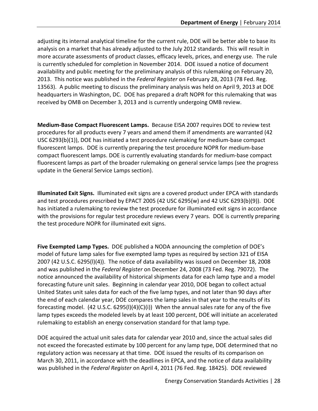adjusting its internal analytical timeline for the current rule, DOE will be better able to base its analysis on a market that has already adjusted to the July 2012 standards. This will result in more accurate assessments of product classes, efficacy levels, prices, and energy use. The rule is currently scheduled for completion in November 2014. DOE issued a notice of document availability and public meeting for the preliminary analysis of this rulemaking on February 20, 2013. This notice was published in the *Federal Register* on February 28, 2013 (78 Fed. Reg. 13563). A public meeting to discuss the preliminary analysis was held on April 9, 2013 at DOE headquarters in Washington, DC. DOE has prepared a draft NOPR for this rulemaking that was received by OMB on December 3, 2013 and is currently undergoing OMB review.

**Medium-Base Compact Fluorescent Lamps.** Because EISA 2007 requires DOE to review test procedures for all products every 7 years and amend them if amendments are warranted (42 USC 6293(b)(1)), DOE has initiated a test procedure rulemaking for medium-base compact fluorescent lamps. DOE is currently preparing the test procedure NOPR for medium-base compact fluorescent lamps. DOE is currently evaluating standards for medium-base compact fluorescent lamps as part of the broader rulemaking on general service lamps (see the progress update in the General Service Lamps section).

**Illuminated Exit Signs.** Illuminated exit signs are a covered product under EPCA with standards and test procedures prescribed by EPACT 2005 (42 USC 6295(w) and 42 USC 6293(b)(9)). DOE has initiated a rulemaking to review the test procedure for illuminated exit signs in accordance with the provisions for regular test procedure reviews every 7 years. DOE is currently preparing the test procedure NOPR for illuminated exit signs.

**Five Exempted Lamp Types.** DOE published a NODA announcing the completion of DOE's model of future lamp sales for five exempted lamp types as required by section 321 of EISA 2007 (42 U.S.C. 6295(l)(4)). The notice of data availability was issued on December 18, 2008 and was published in the *Federal Register* on December 24, 2008 (73 Fed. Reg. 79072). The notice announced the availability of historical shipments data for each lamp type and a model forecasting future unit sales. Beginning in calendar year 2010, DOE began to collect actual United States unit sales data for each of the five lamp types, and not later than 90 days after the end of each calendar year, DOE compares the lamp sales in that year to the results of its forecasting model. (42 U.S.C. 6295(I)(4)(C)(i)) When the annual sales rate for any of the five lamp types exceeds the modeled levels by at least 100 percent, DOE will initiate an accelerated rulemaking to establish an energy conservation standard for that lamp type.

DOE acquired the actual unit sales data for calendar year 2010 and, since the actual sales did not exceed the forecasted estimate by 100 percent for any lamp type, DOE determined that no regulatory action was necessary at that time. DOE issued the results of its comparison on March 30, 2011, in accordance with the deadlines in EPCA, and the notice of data availability was published in the *Federal Register* on April 4, 2011 (76 Fed. Reg. 18425). DOE reviewed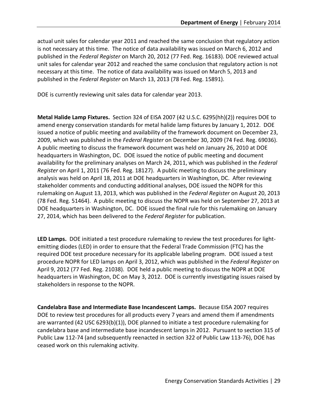actual unit sales for calendar year 2011 and reached the same conclusion that regulatory action is not necessary at this time. The notice of data availability was issued on March 6, 2012 and published in the *Federal Register* on March 20, 2012 (77 Fed. Reg. 16183). DOE reviewed actual unit sales for calendar year 2012 and reached the same conclusion that regulatory action is not necessary at this time. The notice of data availability was issued on March 5, 2013 and published in the *Federal Register* on March 13, 2013 (78 Fed. Reg. 15891).

DOE is currently reviewing unit sales data for calendar year 2013.

**Metal Halide Lamp Fixtures.** Section 324 of EISA 2007 (42 U.S.C. 6295(hh)(2)) requires DOE to amend energy conservation standards for metal halide lamp fixtures by January 1, 2012. DOE issued a notice of public meeting and availability of the framework document on December 23, 2009, which was published in the *Federal Register* on December 30, 2009 (74 Fed. Reg. 69036). A public meeting to discuss the framework document was held on January 26, 2010 at DOE headquarters in Washington, DC. DOE issued the notice of public meeting and document availability for the preliminary analyses on March 24, 2011, which was published in the *Federal Register* on April 1, 2011 (76 Fed. Reg. 18127). A public meeting to discuss the preliminary analysis was held on April 18, 2011 at DOE headquarters in Washington, DC. After reviewing stakeholder comments and conducting additional analyses, DOE issued the NOPR for this rulemaking on August 13, 2013, which was published in the *Federal Register* on August 20, 2013 (78 Fed. Reg. 51464). A public meeting to discuss the NOPR was held on September 27, 2013 at DOE headquarters in Washington, DC. DOE issued the final rule for this rulemaking on January 27, 2014, which has been delivered to the *Federal Register* for publication.

**LED Lamps.** DOE initiated a test procedure rulemaking to review the test procedures for lightemitting diodes (LED) in order to ensure that the Federal Trade Commission (FTC) has the required DOE test procedure necessary for its applicable labeling program. DOE issued a test procedure NOPR for LED lamps on April 3, 2012, which was published in the *Federal Register* on April 9, 2012 (77 Fed. Reg. 21038). DOE held a public meeting to discuss the NOPR at DOE headquarters in Washington, DC on May 3, 2012. DOE is currently investigating issues raised by stakeholders in response to the NOPR.

**Candelabra Base and Intermediate Base Incandescent Lamps.** Because EISA 2007 requires DOE to review test procedures for all products every 7 years and amend them if amendments are warranted (42 USC 6293(b)(1)), DOE planned to initiate a test procedure rulemaking for candelabra base and intermediate base incandescent lamps in 2012. Pursuant to section 315 of Public Law 112-74 (and subsequently reenacted in section 322 of Public Law 113-76), DOE has ceased work on this rulemaking activity.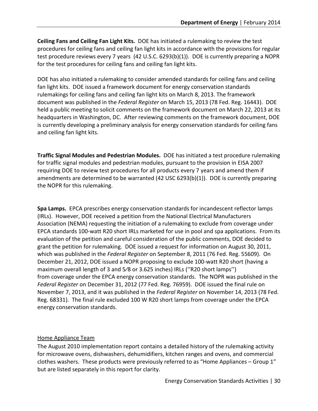**Ceiling Fans and Ceiling Fan Light Kits.** DOE has initiated a rulemaking to review the test procedures for ceiling fans and ceiling fan light kits in accordance with the provisions for regular test procedure reviews every 7 years (42 U.S.C. 6293(b)(1)). DOE is currently preparing a NOPR for the test procedures for ceiling fans and ceiling fan light kits.

DOE has also initiated a rulemaking to consider amended standards for ceiling fans and ceiling fan light kits. DOE issued a framework document for energy conservation standards rulemakings for ceiling fans and ceiling fan light kits on March 8, 2013. The framework document was published in the *Federal Register* on March 15, 2013 (78 Fed. Reg. 16443). DOE held a public meeting to solicit comments on the framework document on March 22, 2013 at its headquarters in Washington, DC. After reviewing comments on the framework document, DOE is currently developing a preliminary analysis for energy conservation standards for ceiling fans and ceiling fan light kits.

**Traffic Signal Modules and Pedestrian Modules.** DOE has initiated a test procedure rulemaking for traffic signal modules and pedestrian modules, pursuant to the provision in EISA 2007 requiring DOE to review test procedures for all products every 7 years and amend them if amendments are determined to be warranted (42 USC 6293(b)(1)). DOE is currently preparing the NOPR for this rulemaking.

**Spa Lamps.** EPCA prescribes energy conservation standards for incandescent reflector lamps (IRLs). However, DOE received a petition from the National Electrical Manufacturers Association (NEMA) requesting the initiation of a rulemaking to exclude from coverage under EPCA standards 100-watt R20 short IRLs marketed for use in pool and spa applications. From its evaluation of the petition and careful consideration of the public comments, DOE decided to grant the petition for rulemaking. DOE issued a request for information on August 30, 2011, which was published in the *Federal Register* on September 8, 2011 (76 Fed. Reg. 55609). On December 21, 2012, DOE issued a NOPR proposing to exclude 100-watt R20 short (having a maximum overall length of 3 and 5⁄8 or 3.625 inches) IRLs (''R20 short lamps'') from coverage under the EPCA energy conservation standards. The NOPR was published in the *Federal Register* on December 31, 2012 (77 Fed. Reg. 76959). DOE issued the final rule on November 7, 2013, and it was published in the *Federal Register* on November 14, 2013 (78 Fed. Reg. 68331). The final rule excluded 100 W R20 short lamps from coverage under the EPCA energy conservation standards.

## <span id="page-36-0"></span>Home Appliance Team

The August 2010 implementation report contains a detailed history of the rulemaking activity for microwave ovens, dishwashers, dehumidifiers, kitchen ranges and ovens, and commercial clothes washers. These products were previously referred to as "Home Appliances – Group 1" but are listed separately in this report for clarity.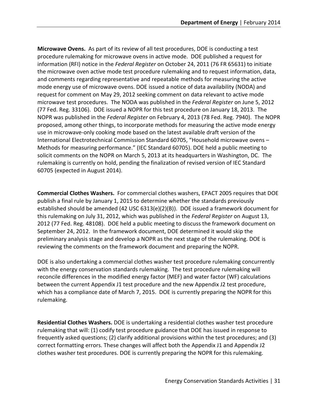**Microwave Ovens.** As part of its review of all test procedures, DOE is conducting a test procedure rulemaking for microwave ovens in active mode. DOE published a request for information (RFI) notice in the *Federal Register* on October 24, 2011 (76 FR 65631) to initiate the microwave oven active mode test procedure rulemaking and to request information, data, and comments regarding representative and repeatable methods for measuring the active mode energy use of microwave ovens. DOE issued a notice of data availability (NODA) and request for comment on May 29, 2012 seeking comment on data relevant to active mode microwave test procedures. The NODA was published in the *Federal Register* on June 5, 2012 (77 Fed. Reg. 33106). DOE issued a NOPR for this test procedure on January 18, 2013. The NOPR was published in the *Federal Register* on February 4, 2013 (78 Fed. Reg. 7940). The NOPR proposed, among other things, to incorporate methods for measuring the active mode energy use in microwave-only cooking mode based on the latest available draft version of the International Electrotechnical Commission Standard 60705, "Household microwave ovens – Methods for measuring performance." (IEC Standard 60705). DOE held a public meeting to solicit comments on the NOPR on March 5, 2013 at its headquarters in Washington, DC. The rulemaking is currently on hold, pending the finalization of revised version of IEC Standard 60705 (expected in August 2014).

**Commercial Clothes Washers.** For commercial clothes washers, EPACT 2005 requires that DOE publish a final rule by January 1, 2015 to determine whether the standards previously established should be amended (42 USC 6313(e)(2)(B)). DOE issued a framework document for this rulemaking on July 31, 2012, which was published in the *Federal Register* on August 13, 2012 (77 Fed. Reg. 48108). DOE held a public meeting to discuss the framework document on September 24, 2012. In the framework document, DOE determined it would skip the preliminary analysis stage and develop a NOPR as the next stage of the rulemaking. DOE is reviewing the comments on the framework document and preparing the NOPR.

DOE is also undertaking a commercial clothes washer test procedure rulemaking concurrently with the energy conservation standards rulemaking. The test procedure rulemaking will reconcile differences in the modified energy factor (MEF) and water factor (WF) calculations between the current Appendix J1 test procedure and the new Appendix J2 test procedure, which has a compliance date of March 7, 2015. DOE is currently preparing the NOPR for this rulemaking.

**Residential Clothes Washers.** DOE is undertaking a residential clothes washer test procedure rulemaking that will: (1) codify test procedure guidance that DOE has issued in response to frequently asked questions; (2) clarify additional provisions within the test procedures; and (3) correct formatting errors. These changes will affect both the Appendix J1 and Appendix J2 clothes washer test procedures. DOE is currently preparing the NOPR for this rulemaking.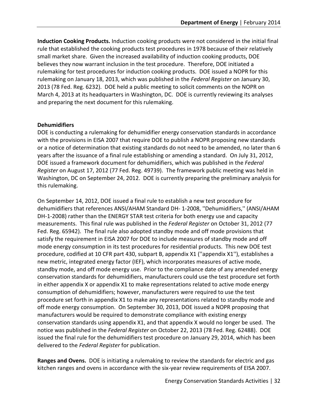**Induction Cooking Products.** Induction cooking products were not considered in the initial final rule that established the cooking products test procedures in 1978 because of their relatively small market share. Given the increased availability of induction cooking products, DOE believes they now warrant inclusion in the test procedure. Therefore, DOE initiated a rulemaking for test procedures for induction cooking products. DOE issued a NOPR for this rulemaking on January 18, 2013, which was published in the *Federal Register* on January 30, 2013 (78 Fed. Reg. 6232). DOE held a public meeting to solicit comments on the NOPR on March 4, 2013 at its headquarters in Washington, DC. DOE is currently reviewing its analyses and preparing the next document for this rulemaking.

#### **Dehumidifiers**

DOE is conducting a rulemaking for dehumidifier energy conservation standards in accordance with the provisions in EISA 2007 that require DOE to publish a NOPR proposing new standards or a notice of determination that existing standards do not need to be amended, no later than 6 years after the issuance of a final rule establishing or amending a standard. On July 31, 2012, DOE issued a framework document for dehumidifiers, which was published in the *Federal Register* on August 17, 2012 (77 Fed. Reg. 49739). The framework public meeting was held in Washington, DC on September 24, 2012. DOE is currently preparing the preliminary analysis for this rulemaking.

On September 14, 2012, DOE issued a final rule to establish a new test procedure for dehumidifiers that references ANSI/AHAM Standard DH- 1-2008, ''Dehumidifiers,'' (ANSI/AHAM DH-1-2008) rather than the ENERGY STAR test criteria for both energy use and capacity measurements. This final rule was published in the *Federal Register* on October 31, 2012 (77 Fed. Reg. 65942). The final rule also adopted standby mode and off mode provisions that satisfy the requirement in EISA 2007 for DOE to include measures of standby mode and off mode energy consumption in its test procedures for residential products. This new DOE test procedure, codified at 10 CFR part 430, subpart B, appendix X1 (''appendix X1''), establishes a new metric, integrated energy factor (IEF), which incorporates measures of active mode, standby mode, and off mode energy use. Prior to the compliance date of any amended energy conservation standards for dehumidifiers, manufacturers could use the test procedure set forth in either appendix X or appendix X1 to make representations related to active mode energy consumption of dehumidifiers; however, manufacturers were required to use the test procedure set forth in appendix X1 to make any representations related to standby mode and off mode energy consumption. On September 30, 2013, DOE issued a NOPR proposing that manufacturers would be required to demonstrate compliance with existing energy conservation standards using appendix X1, and that appendix X would no longer be used. The notice was published in the *Federal Register* on October 22, 2013 (78 Fed. Reg. 62488). DOE issued the final rule for the dehumidifiers test procedure on January 29, 2014, which has been delivered to the *Federal Register* for publication.

**Ranges and Ovens.** DOE is initiating a rulemaking to review the standards for electric and gas kitchen ranges and ovens in accordance with the six-year review requirements of EISA 2007.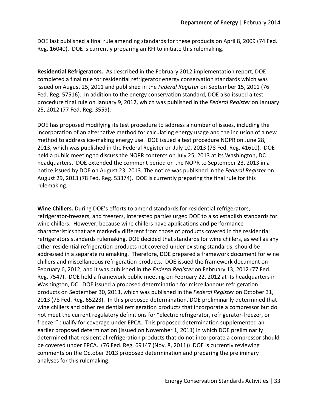DOE last published a final rule amending standards for these products on April 8, 2009 (74 Fed. Reg. 16040). DOE is currently preparing an RFI to initiate this rulemaking.

**Residential Refrigerators.** As described in the February 2012 implementation report, DOE completed a final rule for residential refrigerator energy conservation standards which was issued on August 25, 2011 and published in the *Federal Register* on September 15, 2011 (76 Fed. Reg. 57516). In addition to the energy conservation standard, DOE also issued a test procedure final rule on January 9, 2012, which was published in the *Federal Register* on January 25, 2012 (77 Fed. Reg. 3559).

DOE has proposed modifying its test procedure to address a number of issues, including the incorporation of an alternative method for calculating energy usage and the inclusion of a new method to address ice-making energy use. DOE issued a test procedure NOPR on June 28, 2013, which was published in the Federal Register on July 10, 2013 (78 Fed. Reg. 41610). DOE held a public meeting to discuss the NOPR contents on July 25, 2013 at its Washington, DC headquarters. DOE extended the comment period on the NOPR to September 23, 2013 in a notice issued by DOE on August 23, 2013. The notice was published in the *Federal Register* on August 29, 2013 (78 Fed. Reg. 53374). DOE is currently preparing the final rule for this rulemaking.

**Wine Chillers.** During DOE's efforts to amend standards for residential refrigerators, refrigerator-freezers, and freezers, interested parties urged DOE to also establish standards for wine chillers. However, because wine chillers have applications and performance characteristics that are markedly different from those of products covered in the residential refrigerators standards rulemaking, DOE decided that standards for wine chillers, as well as any other residential refrigeration products not covered under existing standards, should be addressed in a separate rulemaking. Therefore, DOE prepared a framework document for wine chillers and miscellaneous refrigeration products. DOE issued the framework document on February 6, 2012, and it was published in the *Federal Register* on February 13, 2012 (77 Fed. Reg. 7547). DOE held a framework public meeting on February 22, 2012 at its headquarters in Washington, DC. DOE issued a proposed determination for miscellaneous refrigeration products on September 30, 2013, which was published in the *Federal Register* on October 31, 2013 (78 Fed. Reg. 65223). In this proposed determination, DOE preliminarily determined that wine chillers and other residential refrigeration products that incorporate a compressor but do not meet the current regulatory definitions for "electric refrigerator, refrigerator-freezer, or freezer" qualify for coverage under EPCA. This proposed determination supplemented an earlier proposed determination (issued on November 1, 2011) in which DOE preliminarily determined that residential refrigeration products that do not incorporate a compressor should be covered under EPCA. (76 Fed. Reg. 69147 (Nov. 8, 2011)) DOE is currently reviewing comments on the October 2013 proposed determination and preparing the preliminary analyses for this rulemaking.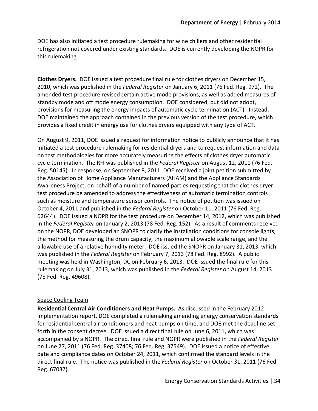DOE has also initiated a test procedure rulemaking for wine chillers and other residential refrigeration not covered under existing standards. DOE is currently developing the NOPR for this rulemaking.

**Clothes Dryers.** DOE issued a test procedure final rule for clothes dryers on December 15, 2010, which was published in the *Federal Register* on January 6, 2011 (76 Fed. Reg. 972). The amended test procedure revised certain active mode provisions, as well as added measures of standby mode and off mode energy consumption.DOE considered, but did not adopt, provisions for measuring the energy impacts of automatic cycle termination (ACT). Instead, DOE maintained the approach contained in the previous version of the test procedure, which provides a fixed credit in energy use for clothes dryers equipped with any type of ACT.

On August 9, 2011, DOE issued a request for information notice to publicly announce that it has initiated a test procedure rulemaking for residential dryers and to request information and data on test methodologies for more accurately measuring the effects of clothes dryer automatic cycle termination. The RFI was published in the *Federal Register* on August 12, 2011 (76 Fed. Reg. 50145). In response, on September 8, 2011, DOE received a joint petition submitted by the Association of Home Appliance Manufacturers (AHAM) and the Appliance Standards Awareness Project, on behalf of a number of named parties requesting that the clothes dryer test procedure be amended to address the effectiveness of automatic termination controls such as moisture and temperature sensor controls. The notice of petition was issued on October 4, 2011 and published in the *Federal Register* on October 11, 2011 (76 Fed. Reg. 62644). DOE issued a NOPR for the test procedure on December 14, 2012, which was published in the *Federal Register* on January 2, 2013 (78 Fed. Reg. 152). As a result of comments received on the NOPR, DOE developed an SNOPR to clarify the installation conditions for console lights, the method for measuring the drum capacity, the maximum allowable scale range, and the allowable use of a relative humidity meter. DOE issued the SNOPR on January 31, 2013, which was published in the *Federal Register* on February 7, 2013 (78 Fed. Reg. 8992). A public meeting was held in Washington, DC on February 6, 2013. DOE issued the final rule for this rulemaking on July 31, 2013, which was published in the *Federal Register* on August 14, 2013 (78 Fed. Reg. 49608).

#### <span id="page-40-0"></span>Space Cooling Team

**Residential Central Air Conditioners and Heat Pumps.** As discussed in the February 2012 implementation report, DOE completed a rulemaking amending energy conservation standards for residential central air conditioners and heat pumps on time, and DOE met the deadline set forth in the consent decree. DOE issued a direct final rule on June 6, 2011, which was accompanied by a NOPR. The direct final rule and NOPR were published in the *Federal Register*  on June 27, 2011 (76 Fed. Reg. 37408; 76 Fed. Reg. 37549). DOE issued a notice of effective date and compliance dates on October 24, 2011, which confirmed the standard levels in the direct final rule. The notice was published in the *Federal Register* on October 31, 2011 (76 Fed. Reg. 67037).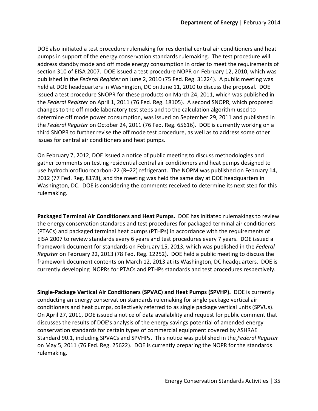DOE also initiated a test procedure rulemaking for residential central air conditioners and heat pumps in support of the energy conservation standards rulemaking. The test procedure will address standby mode and off mode energy consumption in order to meet the requirements of section 310 of EISA 2007. DOE issued a test procedure NOPR on February 12, 2010, which was published in the *Federal Register* on June 2, 2010 (75 Fed. Reg. 31224). A public meeting was held at DOE headquarters in Washington, DC on June 11, 2010 to discuss the proposal. DOE issued a test procedure SNOPR for these products on March 24, 2011, which was published in the *Federal Register* on April 1, 2011 (76 Fed. Reg. 18105). A second SNOPR, which proposed changes to the off mode laboratory test steps and to the calculation algorithm used to determine off mode power consumption, was issued on September 29, 2011 and published in the *Federal Register* on October 24, 2011 (76 Fed. Reg. 65616). DOE is currently working on a third SNOPR to further revise the off mode test procedure, as well as to address some other issues for central air conditioners and heat pumps.

On February 7, 2012, DOE issued a notice of public meeting to discuss methodologies and gather comments on testing residential central air conditioners and heat pumps designed to use hydrochlorofluorocarbon-22 (R–22) refrigerant. The NOPM was published on February 14, 2012 (77 Fed. Reg. 8178), and the meeting was held the same day at DOE headquarters in Washington, DC. DOE is considering the comments received to determine its next step for this rulemaking.

**Packaged Terminal Air Conditioners and Heat Pumps.** DOE has initiated rulemakings to review the energy conservation standards and test procedures for packaged terminal air conditioners (PTACs) and packaged terminal heat pumps (PTHPs) in accordance with the requirements of EISA 2007 to review standards every 6 years and test procedures every 7 years. DOE issued a framework document for standards on February 15, 2013, which was published in the *Federal Register* on February 22, 2013 (78 Fed. Reg. 12252). DOE held a public meeting to discuss the framework document contents on March 12, 2013 at its Washington, DC headquarters. DOE is currently developing NOPRs for PTACs and PTHPs standards and test procedures respectively.

**Single-Package Vertical Air Conditioners (SPVAC) and Heat Pumps (SPVHP).** DOE is currently conducting an energy conservation standards rulemaking for single package vertical air conditioners and heat pumps, collectively referred to as single package vertical units (SPVUs). On April 27, 2011, DOE issued a notice of data availability and request for public comment that discusses the results of DOE's analysis of the energy savings potential of amended energy conservation standards for certain types of commercial equipment covered by ASHRAE Standard 90.1, including SPVACs and SPVHPs. This notice was published in the *Federal Register* on May 5, 2011 (76 Fed. Reg. 25622). DOE is currently preparing the NOPR for the standards rulemaking.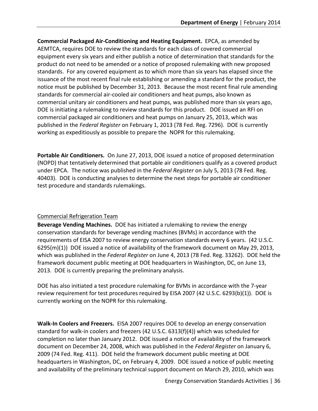**Commercial Packaged Air-Conditioning and Heating Equipment.** EPCA, as amended by AEMTCA, requires DOE to review the standards for each class of covered commercial equipment every six years and either publish a notice of determination that standards for the product do not need to be amended or a notice of proposed rulemaking with new proposed standards. For any covered equipment as to which more than six years has elapsed since the issuance of the most recent final rule establishing or amending a standard for the product, the notice must be published by December 31, 2013. Because the most recent final rule amending standards for commercial air-cooled air conditioners and heat pumps, also known as commercial unitary air conditioners and heat pumps, was published more than six years ago, DOE is initiating a rulemaking to review standards for this product. DOE issued an RFI on commercial packaged air conditioners and heat pumps on January 25, 2013, which was published in the *Federal Register* on February 1, 2013 (78 Fed. Reg. 7296). DOE is currently working as expeditiously as possible to prepare the NOPR for this rulemaking.

**Portable Air Conditioners.** On June 27, 2013, DOE issued a notice of proposed determination (NOPD) that tentatively determined that portable air conditioners qualify as a covered product under EPCA. The notice was published in the *Federal Register* on July 5, 2013 (78 Fed. Reg. 40403). DOE is conducting analyses to determine the next steps for portable air conditioner test procedure and standards rulemakings.

#### <span id="page-42-0"></span>Commercial Refrigeration Team

**Beverage Vending Machines.** DOE has initiated a rulemaking to review the energy conservation standards for beverage vending machines (BVMs) in accordance with the requirements of EISA 2007 to review energy conservation standards every 6 years. (42 U.S.C. 6295(m)(1)) DOE issued a notice of availability of the framework document on May 29, 2013, which was published in the *Federal Register* on June 4, 2013 (78 Fed. Reg. 33262). DOE held the framework document public meeting at DOE headquarters in Washington, DC, on June 13, 2013. DOE is currently preparing the preliminary analysis.

DOE has also initiated a test procedure rulemaking for BVMs in accordance with the 7-year review requirement for test procedures required by EISA 2007 (42 U.S.C. 6293(b)(1)). DOE is currently working on the NOPR for this rulemaking.

**Walk-In Coolers and Freezers.** EISA 2007 requires DOE to develop an energy conservation standard for walk-in coolers and freezers (42 U.S.C. 6313(f)(4)) which was scheduled for completion no later than January 2012. DOE issued a notice of availability of the framework document on December 24, 2008, which was published in the *Federal Register* on January 6, 2009 (74 Fed. Reg. 411). DOE held the framework document public meeting at DOE headquarters in Washington, DC, on February 4, 2009. DOE issued a notice of public meeting and availability of the preliminary technical support document on March 29, 2010, which was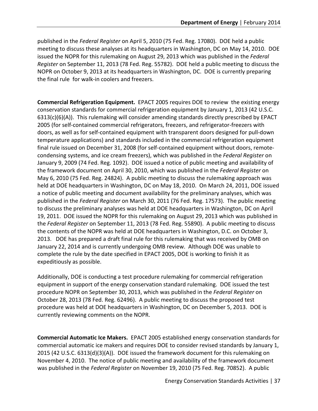published in the *Federal Register* on April 5, 2010 (75 Fed. Reg. 17080). DOE held a public meeting to discuss these analyses at its headquarters in Washington, DC on May 14, 2010. DOE issued the NOPR for this rulemaking on August 29, 2013 which was published in the *Federal Register* on September 11, 2013 (78 Fed. Reg. 55782). DOE held a public meeting to discuss the NOPR on October 9, 2013 at its headquarters in Washington, DC. DOE is currently preparing the final rule for walk-in coolers and freezers.

**Commercial Refrigeration Equipment.** EPACT 2005 requires DOE to review the existing energy conservation standards for commercial refrigeration equipment by January 1, 2013 (42 U.S.C. 6313(c)(6)(A)). This rulemaking will consider amending standards directly prescribed by EPACT 2005 (for self-contained commercial refrigerators, freezers, and refrigerator-freezers with doors, as well as for self-contained equipment with transparent doors designed for pull-down temperature applications) and standards included in the commercial refrigeration equipment final rule issued on December 31, 2008 (for self-contained equipment without doors, remotecondensing systems, and ice cream freezers), which was published in the *Federal Register* on January 9, 2009 (74 Fed. Reg. 1092). DOE issued a notice of public meeting and availability of the framework document on April 30, 2010, which was published in the *Federal Register* on May 6, 2010 (75 Fed. Reg. 24824). A public meeting to discuss the rulemaking approach was held at DOE headquarters in Washington, DC on May 18, 2010. On March 24, 2011, DOE issued a notice of public meeting and document availability for the preliminary analyses, which was published in the *Federal Register* on March 30, 2011 (76 Fed. Reg. 17573). The public meeting to discuss the preliminary analyses was held at DOE headquarters in Washington, DC on April 19, 2011. DOE issued the NOPR for this rulemaking on August 29, 2013 which was published in the *Federal Register* on September 11, 2013 (78 Fed. Reg. 55890). A public meeting to discuss the contents of the NOPR was held at DOE headquarters in Washington, D.C. on October 3, 2013. DOE has prepared a draft final rule for this rulemaking that was received by OMB on January 22, 2014 and is currently undergoing OMB review. Although DOE was unable to complete the rule by the date specified in EPACT 2005, DOE is working to finish it as expeditiously as possible.

Additionally, DOE is conducting a test procedure rulemaking for commercial refrigeration equipment in support of the energy conservation standard rulemaking. DOE issued the test procedure NOPR on September 30, 2013, which was published in the *Federal Register* on October 28, 2013 (78 Fed. Reg. 62496). A public meeting to discuss the proposed test procedure was held at DOE headquarters in Washington, DC on December 5, 2013. DOE is currently reviewing comments on the NOPR.

**Commercial Automatic Ice Makers.** EPACT 2005 established energy conservation standards for commercial automatic ice makers and requires DOE to consider revised standards by January 1, 2015 (42 U.S.C. 6313(d)(3)(A)). DOE issued the framework document for this rulemaking on November 4, 2010. The notice of public meeting and availability of the framework document was published in the *Federal Register* on November 19, 2010 (75 Fed. Reg. 70852). A public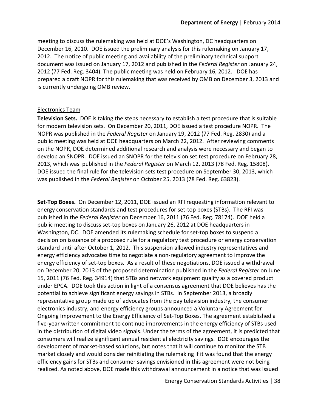meeting to discuss the rulemaking was held at DOE's Washington, DC headquarters on December 16, 2010. DOE issued the preliminary analysis for this rulemaking on January 17, 2012. The notice of public meeting and availability of the preliminary technical support document was issued on January 17, 2012 and published in the *Federal Register* on January 24, 2012 (77 Fed. Reg. 3404). The public meeting was held on February 16, 2012. DOE has prepared a draft NOPR for this rulemaking that was received by OMB on December 3, 2013 and is currently undergoing OMB review.

#### <span id="page-44-0"></span>Electronics Team

**Television Sets.** DOE is taking the steps necessary to establish a test procedure that is suitable for modern television sets. On December 20, 2011, DOE issued a test procedure NOPR. The NOPR was published in the *Federal Register* on January 19, 2012 (77 Fed. Reg. 2830) and a public meeting was held at DOE headquarters on March 22, 2012. After reviewing comments on the NOPR, DOE determined additional research and analysis were necessary and began to develop an SNOPR. DOE issued an SNOPR for the television set test procedure on February 28, 2013, which was published in the *Federal Register* on March 12, 2013 (78 Fed. Reg. 15808). DOE issued the final rule for the television sets test procedure on September 30, 2013, which was published in the *Federal Register* on October 25, 2013 (78 Fed. Reg. 63823).

**Set-Top Boxes.** On December 12, 2011, DOE issued an RFI requesting information relevant to energy conservation standards and test procedures for set-top boxes (STBs). The RFI was published in the *Federal Register* on December 16, 2011 (76 Fed. Reg. 78174). DOE held a public meeting to discuss set-top boxes on January 26, 2012 at DOE headquarters in Washington, DC. DOE amended its rulemaking schedule for set-top boxes to suspend a decision on issuance of a proposed rule for a regulatory test procedure or energy conservation standard until after October 1, 2012. This suspension allowed industry representatives and energy efficiency advocates time to negotiate a non-regulatory agreement to improve the energy efficiency of set-top boxes. As a result of these negotiations, DOE issued a withdrawal on December 20, 2013 of the proposed determination published in the *Federal Register* on June 15, 2011 (76 Fed. Reg. 34914) that STBs and network equipment qualify as a covered product under EPCA. DOE took this action in light of a consensus agreement that DOE believes has the potential to achieve significant energy savings in STBs. In September 2013, a broadly representative group made up of advocates from the pay television industry, the consumer electronics industry, and energy efficiency groups announced a Voluntary Agreement for Ongoing Improvement to the Energy Efficiency of Set-Top Boxes. The agreement established a five-year written commitment to continue improvements in the energy efficiency of STBs used in the distribution of digital video signals. Under the terms of the agreement, it is predicted that consumers will realize significant annual residential electricity savings. DOE encourages the development of market-based solutions, but notes that it will continue to monitor the STB market closely and would consider reinitiating the rulemaking if it was found that the energy efficiency gains for STBs and consumer savings envisioned in this agreement were not being realized. As noted above, DOE made this withdrawal announcement in a notice that was issued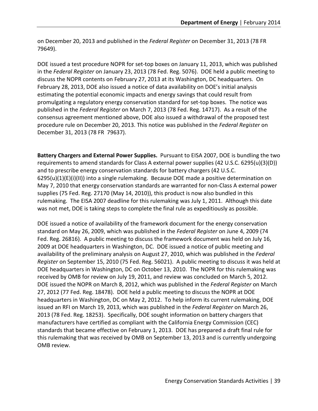on December 20, 2013 and published in the *Federal Register* on December 31, 2013 (78 FR 79649).

DOE issued a test procedure NOPR for set-top boxes on January 11, 2013, which was published in the *Federal Register* on January 23, 2013 (78 Fed. Reg. 5076). DOE held a public meeting to discuss the NOPR contents on February 27, 2013 at its Washington, DC headquarters. On February 28, 2013, DOE also issued a notice of data availability on DOE's initial analysis estimating the potential economic impacts and energy savings that could result from promulgating a regulatory energy conservation standard for set-top boxes. The notice was published in the *Federal Register* on March 7, 2013 (78 Fed. Reg. 14717). As a result of the consensus agreement mentioned above, DOE also issued a withdrawal of the proposed test procedure rule on December 20, 2013. This notice was published in the *Federal Register* on December 31, 2013 (78 FR 79637).

**Battery Chargers and External Power Supplies.** Pursuant to EISA 2007, DOE is bundling the two requirements to amend standards for Class A external power supplies (42 U.S.C. 6295(u)(3)(D)) and to prescribe energy conservation standards for battery chargers (42 U.S.C.  $6295(u)(1)(E)(i)(II))$  into a single rulemaking. Because DOE made a positive determination on May 7, 2010 that energy conservation standards are warranted for non-Class A external power supplies (75 Fed. Reg. 27170 (May 14, 2010)), this product is now also bundled in this rulemaking. The EISA 2007 deadline for this rulemaking was July 1, 2011. Although this date was not met, DOE is taking steps to complete the final rule as expeditiously as possible.

DOE issued a notice of availability of the framework document for the energy conservation standard on May 26, 2009, which was published in the *Federal Register* on June 4, 2009 (74 Fed. Reg. 26816). A public meeting to discuss the framework document was held on July 16, 2009 at DOE headquarters in Washington, DC. DOE issued a notice of public meeting and availability of the preliminary analysis on August 27, 2010, which was published in the *Federal Register* on September 15, 2010 (75 Fed. Reg. 56021). A public meeting to discuss it was held at DOE headquarters in Washington, DC on October 13, 2010. The NOPR for this rulemaking was received by OMB for review on July 19, 2011, and review was concluded on March 5, 2012. DOE issued the NOPR on March 8, 2012, which was published in the *Federal Register* on March 27, 2012 (77 Fed. Reg. 18478). DOE held a public meeting to discuss the NOPR at DOE headquarters in Washington, DC on May 2, 2012. To help inform its current rulemaking, DOE issued an RFI on March 19, 2013, which was published in the *Federal Register* on March 26, 2013 (78 Fed. Reg. 18253). Specifically, DOE sought information on battery chargers that manufacturers have certified as compliant with the California Energy Commission (CEC) standards that became effective on February 1, 2013. DOE has prepared a draft final rule for this rulemaking that was received by OMB on September 13, 2013 and is currently undergoing OMB review.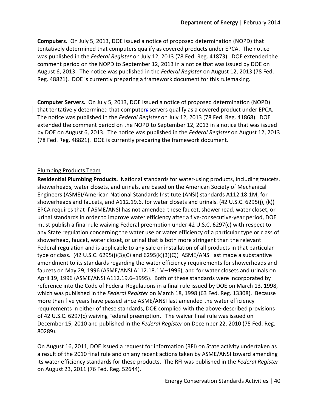**Computers.** On July 5, 2013, DOE issued a notice of proposed determination (NOPD) that tentatively determined that computers qualify as covered products under EPCA. The notice was published in the *Federal Register* on July 12, 2013 (78 Fed. Reg. 41873). DOE extended the comment period on the NOPD to September 12, 2013 in a notice that was issued by DOE on August 6, 2013. The notice was published in the *Federal Register* on August 12, 2013 (78 Fed. Reg. 48821). DOE is currently preparing a framework document for this rulemaking.

**Computer Servers.** On July 5, 2013, DOE issued a notice of proposed determination (NOPD) that tentatively determined that computers servers qualify as a covered product under EPCA. The notice was published in the *Federal Register* on July 12, 2013 (78 Fed. Reg. 41868). DOE extended the comment period on the NOPD to September 12, 2013 in a notice that was issued by DOE on August 6, 2013. The notice was published in the *Federal Register* on August 12, 2013 (78 Fed. Reg. 48821). DOE is currently preparing the framework document.

#### <span id="page-46-0"></span>Plumbing Products Team

**Residential Plumbing Products.** National standards for water-using products, including faucets, showerheads, water closets, and urinals, are based on the American Society of Mechanical Engineers (ASME)/American National Standards Institute (ANSI) standards A112.18.1M, for showerheads and faucets, and A112.19.6, for water closets and urinals. (42 U.S.C. 6295(j), (k)) EPCA requires that if ASME/ANSI has not amended these faucet, showerhead, water closet, or urinal standards in order to improve water efficiency after a five-consecutive-year period, DOE must publish a final rule waiving Federal preemption under 42 U.S.C. 6297(c) with respect to any State regulation concerning the water use or water efficiency of a particular type or class of showerhead, faucet, water closet, or urinal that is both more stringent than the relevant Federal regulation and is applicable to any sale or installation of all products in that particular type or class. (42 U.S.C. 6295(j)(3)(C) and 6295(k)(3)(C)) ASME/ANSI last made a substantive amendment to its standards regarding the water efficiency requirements for showerheads and faucets on May 29, 1996 (ASME/ANSI A112.18.1M–1996), and for water closets and urinals on April 19, 1996 (ASME/ANSI A112.19.6–1995). Both of these standards were incorporated by reference into the Code of Federal Regulations in a final rule issued by DOE on March 13, 1998, which was published in the *Federal Register* on March 18, 1998 (63 Fed. Reg. 13308). Because more than five years have passed since ASME/ANSI last amended the water efficiency requirements in either of these standards, DOE complied with the above-described provisions of 42 U.S.C. 6297(c) waiving Federal preemption. The waiver final rule was issued on December 15, 2010 and published in the *Federal Register* on December 22, 2010 (75 Fed. Reg. 80289).

On August 16, 2011, DOE issued a request for information (RFI) on State activity undertaken as a result of the 2010 final rule and on any recent actions taken by ASME/ANSI toward amending its water efficiency standards for these products. The RFI was published in the *Federal Register*  on August 23, 2011 (76 Fed. Reg. 52644).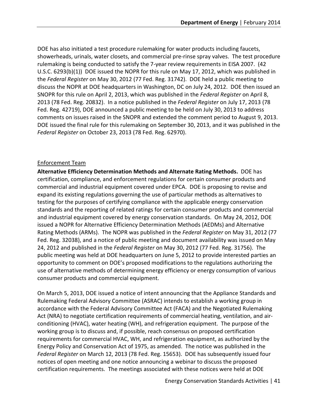DOE has also initiated a test procedure rulemaking for water products including faucets, showerheads, urinals, water closets, and commercial pre-rinse spray valves. The test procedure rulemaking is being conducted to satisfy the 7-year review requirements in EISA 2007. (42 U.S.C. 6293(b)(1)) DOE issued the NOPR for this rule on May 17, 2012, which was published in the *Federal Register* on May 30, 2012 (77 Fed. Reg. 31742). DOE held a public meeting to discuss the NOPR at DOE headquarters in Washington, DC on July 24, 2012. DOE then issued an SNOPR for this rule on April 2, 2013, which was published in the *Federal Register* on April 8, 2013 (78 Fed. Reg. 20832). In a notice published in the *Federal Register* on July 17, 2013 (78 Fed. Reg. 42719), DOE announced a public meeting to be held on July 30, 2013 to address comments on issues raised in the SNOPR and extended the comment period to August 9, 2013. DOE issued the final rule for this rulemaking on September 30, 2013, and it was published in the *Federal Register* on October 23, 2013 (78 Fed. Reg. 62970).

#### <span id="page-47-0"></span>Enforcement Team

**Alternative Efficiency Determination Methods and Alternate Rating Methods.** DOE has certification, compliance, and enforcement regulations for certain consumer products and commercial and industrial equipment covered under EPCA. DOE is proposing to revise and expand its existing regulations governing the use of particular methods as alternatives to testing for the purposes of certifying compliance with the applicable energy conservation standards and the reporting of related ratings for certain consumer products and commercial and industrial equipment covered by energy conservation standards. On May 24, 2012, DOE issued a NOPR for Alternative Efficiency Determination Methods (AEDMs) and Alternative Rating Methods (ARMs). The NOPR was published in the *Federal Register* on May 31, 2012 (77 Fed. Reg. 32038), and a notice of public meeting and document availability was issued on May 24, 2012 and published in the *Federal Register* on May 30, 2012 (77 Fed. Reg. 31756). The public meeting was held at DOE headquarters on June 5, 2012 to provide interested parties an opportunity to comment on DOE's proposed modifications to the regulations authorizing the use of alternative methods of determining energy efficiency or energy consumption of various consumer products and commercial equipment.

On March 5, 2013, DOE issued a notice of intent announcing that the Appliance Standards and Rulemaking Federal Advisory Committee (ASRAC) intends to establish a working group in accordance with the Federal Advisory Committee Act (FACA) and the Negotiated Rulemaking Act (NRA) to negotiate certification requirements of commercial heating, ventilation, and airconditioning (HVAC), water heating (WH), and refrigeration equipment. The purpose of the working group is to discuss and, if possible, reach consensus on proposed certification requirements for commercial HVAC, WH, and refrigeration equipment, as authorized by the Energy Policy and Conservation Act of 1975, as amended. The notice was published in the *Federal Register* on March 12, 2013 (78 Fed. Reg. 15653). DOE has subsequently issued four notices of open meeting and one notice announcing a webinar to discuss the proposed certification requirements. The meetings associated with these notices were held at DOE